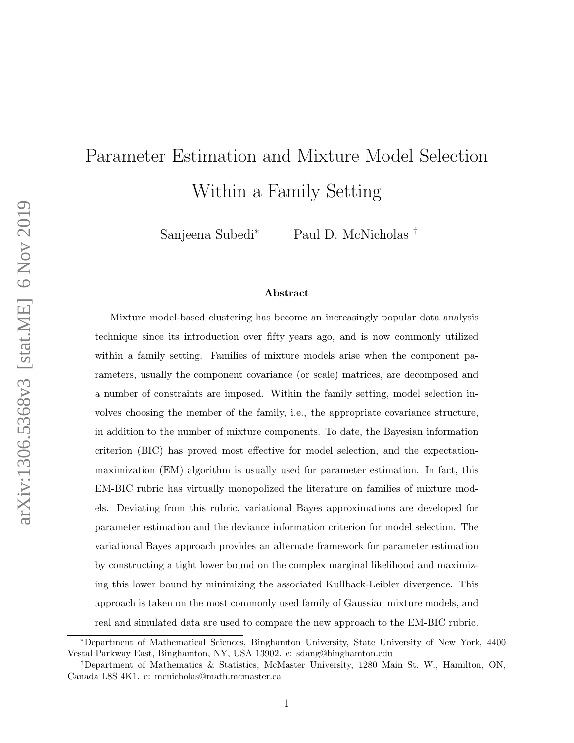# Parameter Estimation and Mixture Model Selection Within a Family Setting

Sanjeena Subedi<sup>∗</sup> Paul D. McNicholas †

#### Abstract

Mixture model-based clustering has become an increasingly popular data analysis technique since its introduction over fifty years ago, and is now commonly utilized within a family setting. Families of mixture models arise when the component parameters, usually the component covariance (or scale) matrices, are decomposed and a number of constraints are imposed. Within the family setting, model selection involves choosing the member of the family, i.e., the appropriate covariance structure, in addition to the number of mixture components. To date, the Bayesian information criterion (BIC) has proved most effective for model selection, and the expectationmaximization (EM) algorithm is usually used for parameter estimation. In fact, this EM-BIC rubric has virtually monopolized the literature on families of mixture models. Deviating from this rubric, variational Bayes approximations are developed for parameter estimation and the deviance information criterion for model selection. The variational Bayes approach provides an alternate framework for parameter estimation by constructing a tight lower bound on the complex marginal likelihood and maximizing this lower bound by minimizing the associated Kullback-Leibler divergence. This approach is taken on the most commonly used family of Gaussian mixture models, and real and simulated data are used to compare the new approach to the EM-BIC rubric.

<sup>∗</sup>Department of Mathematical Sciences, Binghamton University, State University of New York, 4400 Vestal Parkway East, Binghamton, NY, USA 13902. e: sdang@binghamton.edu

<sup>†</sup>Department of Mathematics & Statistics, McMaster University, 1280 Main St. W., Hamilton, ON, Canada L8S 4K1. e: mcnicholas@math.mcmaster.ca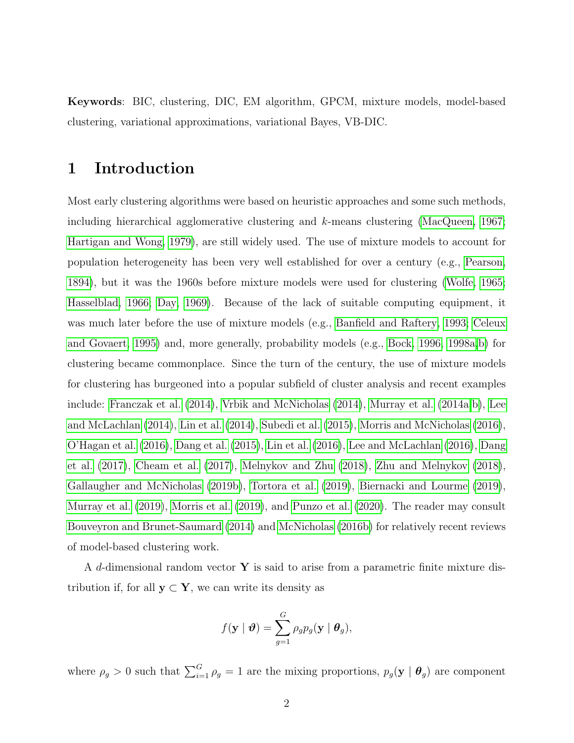Keywords: BIC, clustering, DIC, EM algorithm, GPCM, mixture models, model-based clustering, variational approximations, variational Bayes, VB-DIC.

## 1 Introduction

Most early clustering algorithms were based on heuristic approaches and some such methods, including hierarchical agglomerative clustering and  $k$ -means clustering [\(MacQueen, 1967;](#page-22-0) [Hartigan and Wong, 1979\)](#page-21-0), are still widely used. The use of mixture models to account for population heterogeneity has been very well established for over a century (e.g., [Pearson,](#page-23-0) [1894\)](#page-23-0), but it was the 1960s before mixture models were used for clustering [\(Wolfe, 1965;](#page-25-0) [Hasselblad, 1966;](#page-21-1) [Day, 1969\)](#page-20-0). Because of the lack of suitable computing equipment, it was much later before the use of mixture models (e.g., [Banfield and Raftery, 1993;](#page-19-0) [Celeux](#page-20-1) [and Govaert, 1995\)](#page-20-1) and, more generally, probability models (e.g., [Bock, 1996,](#page-19-1) [1998a,](#page-19-2)[b\)](#page-19-3) for clustering became commonplace. Since the turn of the century, the use of mixture models for clustering has burgeoned into a popular subfield of cluster analysis and recent examples include: [Franczak et al.](#page-21-2) [\(2014\)](#page-21-2), [Vrbik and McNicholas](#page-25-1) [\(2014\)](#page-25-1), [Murray et al.](#page-23-1) [\(2014a,](#page-23-1)[b\)](#page-23-2), [Lee](#page-22-1) [and McLachlan](#page-22-1) [\(2014\)](#page-22-1), [Lin et al.](#page-22-2) [\(2014\)](#page-22-2), [Subedi et al.](#page-24-0) [\(2015\)](#page-24-0), [Morris and McNicholas](#page-23-3) [\(2016\)](#page-23-3), [O'Hagan et al.](#page-23-4) [\(2016\)](#page-23-4), [Dang et al.](#page-20-2) [\(2015\)](#page-20-2), [Lin et al.](#page-22-3) [\(2016\)](#page-22-3), [Lee and McLachlan](#page-22-4) [\(2016\)](#page-22-4), [Dang](#page-20-3) [et al.](#page-20-3) [\(2017\)](#page-20-3), [Cheam et al.](#page-20-4) [\(2017\)](#page-20-4), [Melnykov and Zhu](#page-23-5) [\(2018\)](#page-23-5), [Zhu and Melnykov](#page-25-2) [\(2018\)](#page-25-2), [Gallaugher and McNicholas](#page-21-3) [\(2019b\)](#page-21-3), [Tortora et al.](#page-24-1) [\(2019\)](#page-24-1), [Biernacki and Lourme](#page-19-4) [\(2019\)](#page-19-4), [Murray et al.](#page-23-6) [\(2019\)](#page-23-6), [Morris et al.](#page-23-7) [\(2019\)](#page-23-7), and [Punzo et al.](#page-24-2) [\(2020\)](#page-24-2). The reader may consult [Bouveyron and Brunet-Saumard](#page-20-5) [\(2014\)](#page-20-5) and [McNicholas](#page-23-8) [\(2016b\)](#page-23-8) for relatively recent reviews of model-based clustering work.

A d-dimensional random vector  $Y$  is said to arise from a parametric finite mixture distribution if, for all  $y \subset Y$ , we can write its density as

$$
f(\mathbf{y} \mid \boldsymbol{\vartheta}) = \sum_{g=1}^{G} \rho_g p_g(\mathbf{y} \mid \boldsymbol{\theta}_g),
$$

where  $\rho_g > 0$  such that  $\sum_{i=1}^G \rho_g = 1$  are the mixing proportions,  $p_g(\mathbf{y} \mid \boldsymbol{\theta}_g)$  are component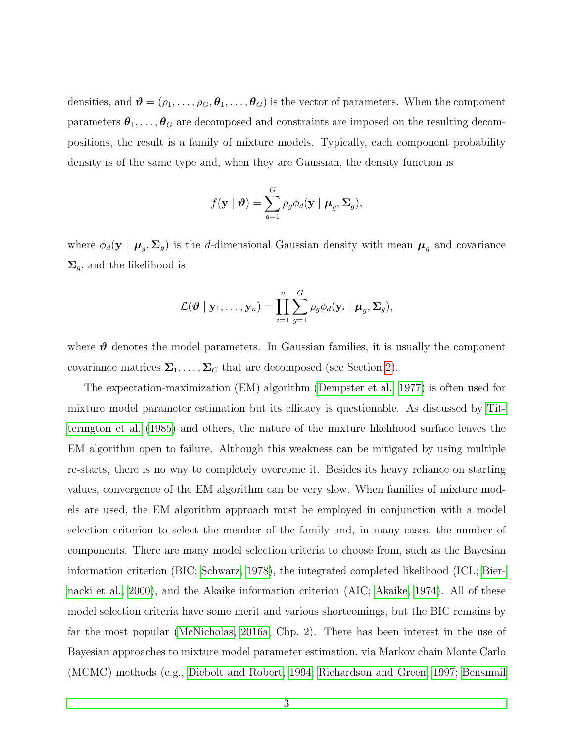densities, and  $\mathbf{\theta} = (\rho_1, \ldots, \rho_G, \mathbf{\theta}_1, \ldots, \mathbf{\theta}_G)$  is the vector of parameters. When the component parameters  $\theta_1, \ldots, \theta_G$  are decomposed and constraints are imposed on the resulting decompositions, the result is a family of mixture models. Typically, each component probability density is of the same type and, when they are Gaussian, the density function is

$$
f(\mathbf{y} \mid \boldsymbol{\vartheta}) = \sum_{g=1}^{G} \rho_g \phi_d(\mathbf{y} \mid \boldsymbol{\mu}_g, \boldsymbol{\Sigma}_g),
$$

where  $\phi_d(y \mid \mu_g, \Sigma_g)$  is the d-dimensional Gaussian density with mean  $\mu_g$  and covariance  $\Sigma_g$ , and the likelihood is

$$
\mathcal{L}(\boldsymbol{\vartheta} \mid \mathbf{y}_1, \ldots, \mathbf{y}_n) = \prod_{i=1}^n \sum_{g=1}^G \rho_g \phi_d(\mathbf{y}_i \mid \boldsymbol{\mu}_g, \boldsymbol{\Sigma}_g),
$$

where  $\vartheta$  denotes the model parameters. In Gaussian families, it is usually the component covariance matrices  $\Sigma_1, \ldots, \Sigma_G$  that are decomposed (see Section [2\)](#page-4-0).

The expectation-maximization (EM) algorithm [\(Dempster et al., 1977\)](#page-20-6) is often used for mixture model parameter estimation but its efficacy is questionable. As discussed by [Tit](#page-24-3)[terington et al.](#page-24-3) [\(1985\)](#page-24-3) and others, the nature of the mixture likelihood surface leaves the EM algorithm open to failure. Although this weakness can be mitigated by using multiple re-starts, there is no way to completely overcome it. Besides its heavy reliance on starting values, convergence of the EM algorithm can be very slow. When families of mixture models are used, the EM algorithm approach must be employed in conjunction with a model selection criterion to select the member of the family and, in many cases, the number of components. There are many model selection criteria to choose from, such as the Bayesian information criterion (BIC; [Schwarz, 1978\)](#page-24-4), the integrated completed likelihood (ICL; [Bier](#page-19-5)[nacki et al., 2000\)](#page-19-5), and the Akaike information criterion (AIC; [Akaike, 1974\)](#page-19-6). All of these model selection criteria have some merit and various shortcomings, but the BIC remains by far the most popular [\(McNicholas, 2016a,](#page-23-9) Chp. 2). There has been interest in the use of Bayesian approaches to mixture model parameter estimation, via Markov chain Monte Carlo (MCMC) methods (e.g., [Diebolt and Robert, 1994;](#page-20-7) [Richardson and Green, 1997;](#page-24-5) [Bensmail](#page-19-7)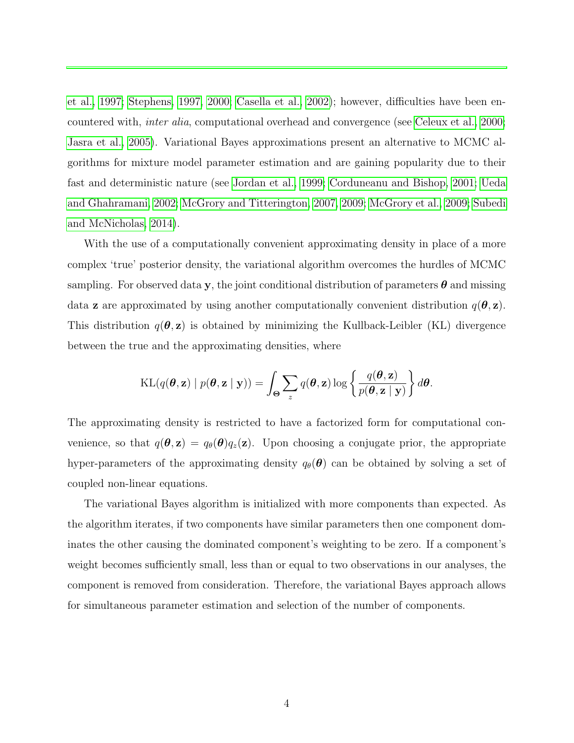[et al., 1997;](#page-19-7) [Stephens, 1997,](#page-24-6) [2000;](#page-24-7) [Casella et al., 2002\)](#page-20-8); however, difficulties have been encountered with, inter alia, computational overhead and convergence (see [Celeux et al., 2000;](#page-20-9) [Jasra et al., 2005\)](#page-22-5). Variational Bayes approximations present an alternative to MCMC algorithms for mixture model parameter estimation and are gaining popularity due to their fast and deterministic nature (see [Jordan et al., 1999;](#page-22-6) [Corduneanu and Bishop, 2001;](#page-20-10) [Ueda](#page-25-3) [and Ghahramani, 2002;](#page-25-3) [McGrory and Titterington, 2007,](#page-22-7) [2009;](#page-22-8) [McGrory et al., 2009;](#page-22-9) [Subedi](#page-24-8) [and McNicholas, 2014\)](#page-24-8).

With the use of a computationally convenient approximating density in place of a more complex 'true' posterior density, the variational algorithm overcomes the hurdles of MCMC sampling. For observed data y, the joint conditional distribution of parameters  $\theta$  and missing data **z** are approximated by using another computationally convenient distribution  $q(\theta, \mathbf{z})$ . This distribution  $q(\theta, z)$  is obtained by minimizing the Kullback-Leibler (KL) divergence between the true and the approximating densities, where

$$
\mathrm{KL}(q(\boldsymbol{\theta}, \mathbf{z}) \mid p(\boldsymbol{\theta}, \mathbf{z} \mid \mathbf{y})) = \int_{\boldsymbol{\Theta}} \sum_{z} q(\boldsymbol{\theta}, \mathbf{z}) \log \left\{ \frac{q(\boldsymbol{\theta}, \mathbf{z})}{p(\boldsymbol{\theta}, \mathbf{z} \mid \mathbf{y})} \right\} d\boldsymbol{\theta}.
$$

The approximating density is restricted to have a factorized form for computational convenience, so that  $q(\theta, z) = q_{\theta}(\theta)q_z(z)$ . Upon choosing a conjugate prior, the appropriate hyper-parameters of the approximating density  $q_{\theta}(\boldsymbol{\theta})$  can be obtained by solving a set of coupled non-linear equations.

The variational Bayes algorithm is initialized with more components than expected. As the algorithm iterates, if two components have similar parameters then one component dominates the other causing the dominated component's weighting to be zero. If a component's weight becomes sufficiently small, less than or equal to two observations in our analyses, the component is removed from consideration. Therefore, the variational Bayes approach allows for simultaneous parameter estimation and selection of the number of components.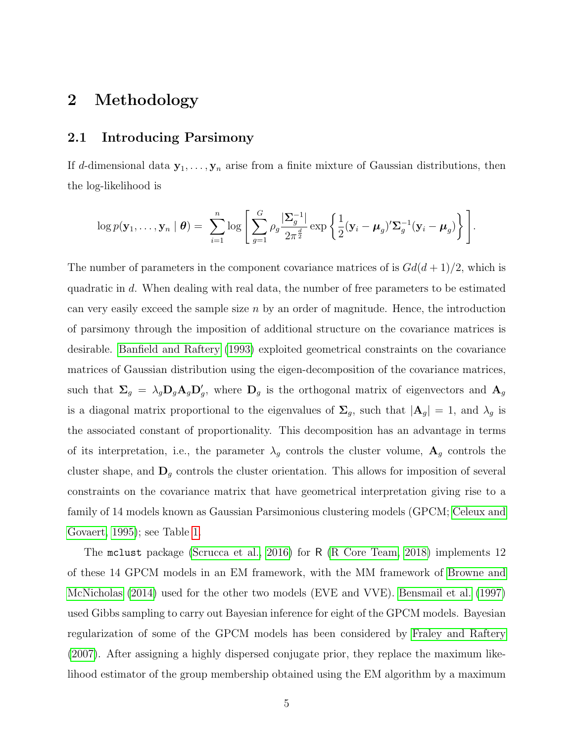### <span id="page-4-0"></span>2 Methodology

#### 2.1 Introducing Parsimony

If d-dimensional data  $y_1, \ldots, y_n$  arise from a finite mixture of Gaussian distributions, then the log-likelihood is

$$
\log p(\mathbf{y}_1,\ldots,\mathbf{y}_n \mid \boldsymbol{\theta}) = \sum_{i=1}^n \log \left[ \sum_{g=1}^G \rho_g \frac{|\mathbf{\Sigma}_g^{-1}|}{2\pi^{\frac{d}{2}}} \exp \left\{ \frac{1}{2} (\mathbf{y}_i - \boldsymbol{\mu}_g)' \mathbf{\Sigma}_g^{-1} (\mathbf{y}_i - \boldsymbol{\mu}_g) \right\} \right].
$$

The number of parameters in the component covariance matrices of is  $Gd(d+1)/2$ , which is quadratic in d. When dealing with real data, the number of free parameters to be estimated can very easily exceed the sample size  $n$  by an order of magnitude. Hence, the introduction of parsimony through the imposition of additional structure on the covariance matrices is desirable. [Banfield and Raftery](#page-19-0) [\(1993\)](#page-19-0) exploited geometrical constraints on the covariance matrices of Gaussian distribution using the eigen-decomposition of the covariance matrices, such that  $\Sigma_g = \lambda_g \mathbf{D}_g \mathbf{A}_g \mathbf{D}'_g$ , where  $\mathbf{D}_g$  is the orthogonal matrix of eigenvectors and  $\mathbf{A}_g$ is a diagonal matrix proportional to the eigenvalues of  $\Sigma_g$ , such that  $|\mathbf{A}_g| = 1$ , and  $\lambda_g$  is the associated constant of proportionality. This decomposition has an advantage in terms of its interpretation, i.e., the parameter  $\lambda_g$  controls the cluster volume,  $\mathbf{A}_g$  controls the cluster shape, and  $\mathbf{D}_g$  controls the cluster orientation. This allows for imposition of several constraints on the covariance matrix that have geometrical interpretation giving rise to a family of 14 models known as Gaussian Parsimonious clustering models (GPCM; [Celeux and](#page-20-1) [Govaert, 1995\)](#page-20-1); see Table [1.](#page-5-0)

The mclust package [\(Scrucca et al., 2016\)](#page-24-9) for R [\(R Core Team, 2018\)](#page-24-10) implements 12 of these 14 GPCM models in an EM framework, with the MM framework of [Browne and](#page-20-11) [McNicholas](#page-20-11) [\(2014\)](#page-20-11) used for the other two models (EVE and VVE). [Bensmail et al.](#page-19-7) [\(1997\)](#page-19-7) used Gibbs sampling to carry out Bayesian inference for eight of the GPCM models. Bayesian regularization of some of the GPCM models has been considered by [Fraley and Raftery](#page-20-12) [\(2007\)](#page-20-12). After assigning a highly dispersed conjugate prior, they replace the maximum likelihood estimator of the group membership obtained using the EM algorithm by a maximum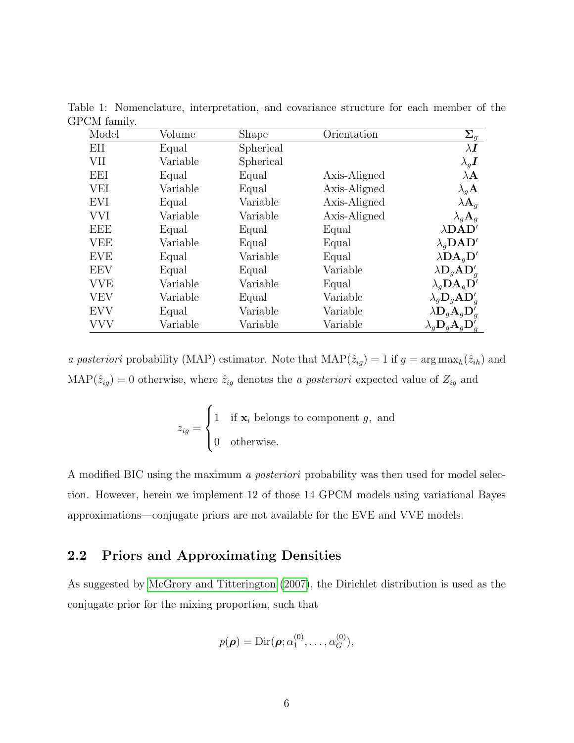<span id="page-5-0"></span>

| Model      | Volume   | <b>Shape</b> | Orientation  | $\Sigma_g$                                          |
|------------|----------|--------------|--------------|-----------------------------------------------------|
| ΕH         | Equal    | Spherical    |              | $\lambda \boldsymbol{I}$                            |
| VII        | Variable | Spherical    |              | $\lambda_q \boldsymbol{I}$                          |
| EEI        | Equal    | Equal        | Axis-Aligned | $\lambda \mathbf{A}$                                |
| VEI        | Variable | Equal        | Axis-Aligned | $\lambda_q$ A                                       |
| <b>EVI</b> | Equal    | Variable     | Axis-Aligned | $\lambda {\bf A}_q$                                 |
| <b>VVI</b> | Variable | Variable     | Axis-Aligned | $\lambda_q \mathbf{A}_q$                            |
| EEE        | Equal    | Equal        | Equal        | $\lambda\textbf{D}\textbf{A}\textbf{D}'$            |
| VEE        | Variable | Equal        | Equal        | $\lambda_a$ DAD'                                    |
| <b>EVE</b> | Equal    | Variable     | Equal        | $\lambda \mathbf{DA}_q \mathbf{D}'$                 |
| <b>EEV</b> | Equal    | Equal        | Variable     | $\lambda \mathbf{D}_q \mathbf{A} \mathbf{D}_q'$     |
| VVE        | Variable | Variable     | Equal        | $\lambda_q \mathbf{D} \mathbf{A}_q \mathbf{D}'$     |
| VEV        | Variable | Equal        | Variable     | $\lambda_g \mathbf{D}_g \mathbf{A} \mathbf{D}_g'$   |
| <b>EVV</b> | Equal    | Variable     | Variable     | $\lambda \mathbf{D}_g \mathbf{A}_g \mathbf{D}_g'$   |
| VVV        | Variable | Variable     | Variable     | $\lambda_g \mathbf{D}_g \mathbf{A}_g \mathbf{D}_g'$ |

Table 1: Nomenclature, interpretation, and covariance structure for each member of the GPCM family.

a posteriori probability (MAP) estimator. Note that  $\text{MAP}(\hat{z}_{ig}) = 1$  if  $g = \arg \max_h(\hat{z}_{ih})$  and MAP( $\hat{z}_{ig}$ ) = 0 otherwise, where  $\hat{z}_{ig}$  denotes the *a posteriori* expected value of  $Z_{ig}$  and

$$
z_{ig} = \begin{cases} 1 & \text{if } \mathbf{x}_i \text{ belongs to component } g, \text{ and} \\ 0 & \text{otherwise.} \end{cases}
$$

A modified BIC using the maximum a posteriori probability was then used for model selection. However, herein we implement 12 of those 14 GPCM models using variational Bayes approximations—conjugate priors are not available for the EVE and VVE models.

### 2.2 Priors and Approximating Densities

As suggested by [McGrory and Titterington](#page-22-7) [\(2007\)](#page-22-7), the Dirichlet distribution is used as the conjugate prior for the mixing proportion, such that

$$
p(\boldsymbol{\rho}) = \mathrm{Dir}(\boldsymbol{\rho}; \alpha_1^{(0)}, \ldots, \alpha_G^{(0)}),
$$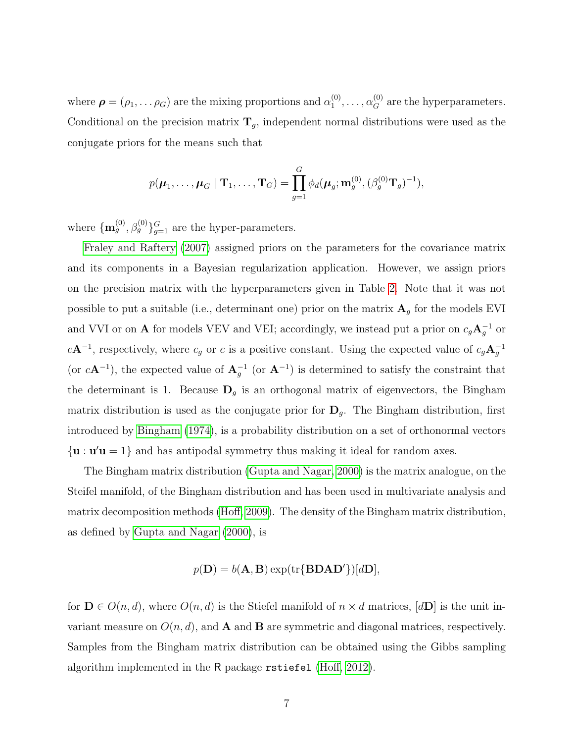where  $\boldsymbol{\rho} = (\rho_1, \dots \rho_G)$  are the mixing proportions and  $\alpha_1^{(0)}$  $\alpha_1^{(0)}, \ldots, \alpha_G^{(0)}$  are the hyperparameters. Conditional on the precision matrix  $\mathbf{T}_g$ , independent normal distributions were used as the conjugate priors for the means such that

$$
p(\boldsymbol{\mu}_1,\ldots,\boldsymbol{\mu}_G\mid\mathbf{T}_1,\ldots,\mathbf{T}_G)=\prod_{g=1}^G\phi_d(\boldsymbol{\mu}_g;\mathbf{m}_g^{(0)},(\beta_g^{(0)}\mathbf{T}_g)^{-1}),
$$

where  ${\bf \{m}}_g^{(0)}, \beta_g^{(0)}\}_{g=1}^G$  are the hyper-parameters.

[Fraley and Raftery](#page-20-12) [\(2007\)](#page-20-12) assigned priors on the parameters for the covariance matrix and its components in a Bayesian regularization application. However, we assign priors on the precision matrix with the hyperparameters given in Table [2.](#page-7-0) Note that it was not possible to put a suitable (i.e., determinant one) prior on the matrix  $\mathbf{A}_g$  for the models EVI and VVI or on **A** for models VEV and VEI; accordingly, we instead put a prior on  $c_g \mathbf{A}_g^{-1}$  or  $c\mathbf{A}^{-1}$ , respectively, where  $c_g$  or c is a positive constant. Using the expected value of  $c_g\mathbf{A}_g^{-1}$ (or  $c\mathbf{A}^{-1}$ ), the expected value of  $\mathbf{A}_g^{-1}$  (or  $\mathbf{A}^{-1}$ ) is determined to satisfy the constraint that the determinant is 1. Because  $\mathbf{D}_g$  is an orthogonal matrix of eigenvectors, the Bingham matrix distribution is used as the conjugate prior for  $\mathbf{D}_g$ . The Bingham distribution, first introduced by [Bingham](#page-19-8) [\(1974\)](#page-19-8), is a probability distribution on a set of orthonormal vectors  $\{u : u'u = 1\}$  and has antipodal symmetry thus making it ideal for random axes.

The Bingham matrix distribution [\(Gupta and Nagar, 2000\)](#page-21-4) is the matrix analogue, on the Steifel manifold, of the Bingham distribution and has been used in multivariate analysis and matrix decomposition methods [\(Hoff, 2009\)](#page-21-5). The density of the Bingham matrix distribution, as defined by [Gupta and Nagar](#page-21-4) [\(2000\)](#page-21-4), is

$$
p(\mathbf{D}) = b(\mathbf{A}, \mathbf{B}) \exp(\text{tr}\{\mathbf{B}\mathbf{D}\mathbf{A}\mathbf{D}'\})[d\mathbf{D}],
$$

for  $\mathbf{D} \in O(n, d)$ , where  $O(n, d)$  is the Stiefel manifold of  $n \times d$  matrices,  $[d\mathbf{D}]$  is the unit invariant measure on  $O(n, d)$ , and **A** and **B** are symmetric and diagonal matrices, respectively. Samples from the Bingham matrix distribution can be obtained using the Gibbs sampling algorithm implemented in the R package rstiefel [\(Hoff, 2012\)](#page-21-6).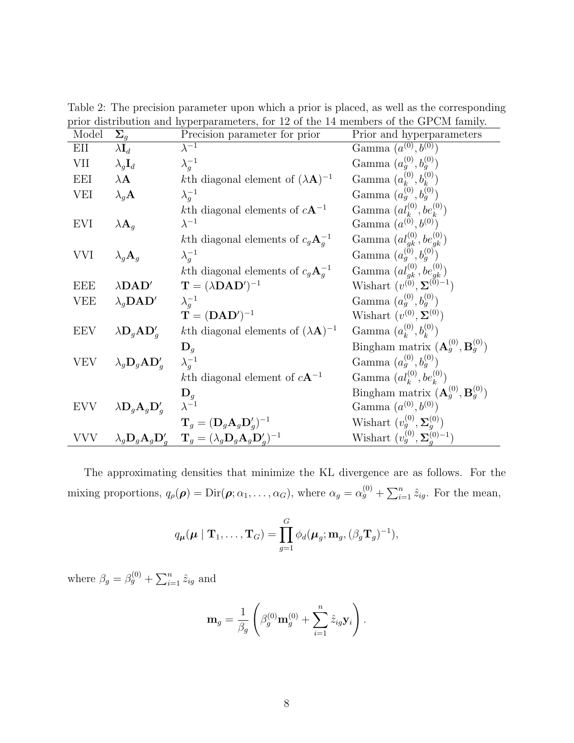| Model      | $\Sigma_q$                                        | $\mu$ and $\mu$ and $\mu$ and $\mu$ and $\mu$ are $\mu$ and $\mu$ and $\mu$ and $\mu$ and $\mu$ and $\mu$ and $\mu$ and $\mu$<br>Precision parameter for prior | Prior and hyperparameters                                                     |
|------------|---------------------------------------------------|----------------------------------------------------------------------------------------------------------------------------------------------------------------|-------------------------------------------------------------------------------|
| EII        | $\lambda \mathbf{I}_d$                            | $\lambda^{-1}$                                                                                                                                                 | Gamma $(a^{(0)}, b^{(0)})$                                                    |
| VII        | $\lambda_g \mathbf{I}_d$                          | $\lambda_q^{-1}$                                                                                                                                               | Gamma $(a_q^{(0)}, b_q^{(0)})$                                                |
| EEI        | $\lambda \mathbf{A}$                              | kth diagonal element of $(\lambda \mathbf{A})^{-1}$                                                                                                            | Gamma $(a_k^{(0)}, b_k^{(0)})$                                                |
| VEI        | $\lambda_q$ <b>A</b>                              | $\lambda_a^{-1}$                                                                                                                                               | Gamma $(a_g^{(0)}, b_g^{(0)})$                                                |
|            |                                                   | kth diagonal elements of $cA^{-1}$                                                                                                                             | Gamma $(al_k^{(0)}, be_k^{(0)})$                                              |
| EVI        | $\lambda \mathbf{A}_q$                            | $\lambda^{-1}$                                                                                                                                                 | Gamma $(a^{(0)},b^{(0)})$                                                     |
|            |                                                   | kth diagonal elements of $c_g \mathbf{A}_q^{-1}$                                                                                                               | Gamma $(a_{gk}^{(0)}, be_{gk}^{(0)})$<br>Gamma $(a_g^{(0)}, b_g^{(0)})$       |
| VVI        | $\lambda_g \mathbf{A}_g$                          | $\lambda_a^{-1}$                                                                                                                                               |                                                                               |
|            |                                                   | kth diagonal elements of $c_g \mathbf{A}_q^{-1}$                                                                                                               | Gamma $(al_{gk}^{(0)}, be_{gk}^{(0)})$<br>Wishart $(v^{(0)}, \Sigma^{(0)-1})$ |
| <b>EEE</b> | $\lambda\textbf{D}\textbf{A}\textbf{D}'$          | $\mathbf{T} = (\lambda \mathbf{D} \mathbf{A} \mathbf{D}')^{-1}$                                                                                                |                                                                               |
| <b>VEE</b> | $\lambda_q$ <b>DAD'</b>                           | $\lambda_a^{-1}$                                                                                                                                               | Gamma $(a_q^{(0)}, b_q^{(0)})$                                                |
|            |                                                   | $\mathbf{T} = (\mathbf{D}\mathbf{A}\mathbf{D}')^{-1}$                                                                                                          | Wishart $(v^{(0)}, \Sigma^{(0)})$                                             |
| <b>EEV</b> | $\lambda \mathbf{D}_g \mathbf{A} \mathbf{D}_g'$   | kth diagonal elements of $(\lambda \mathbf{A})^{-1}$                                                                                                           | Gamma $(a_k^{(0)}, b_k^{(0)})$                                                |
|            |                                                   | $\mathbf{D}_g$                                                                                                                                                 | Bingham matrix $(\mathbf{A}_g^{(0)}, \mathbf{B}_g^{(0)})$                     |
| <b>VEV</b> | $\lambda_g \mathbf{D}_g \mathbf{A} \mathbf{D}_g'$ | $\lambda_q^{-1}$                                                                                                                                               | Gamma $(a_q^{(0)}, b_q^{(0)})$                                                |
|            |                                                   | kth diagonal element of $cA^{-1}$                                                                                                                              | Gamma $(al_k^{(0)}, be_k^{(0)})$                                              |
|            |                                                   | $\mathbf{D}_g$                                                                                                                                                 | Bingham matrix $(\mathbf{A}_g^{(0)}, \mathbf{B}_g^{(0)})$                     |
| <b>EVV</b> | $\lambda \mathbf{D}_g \mathbf{A}_g \mathbf{D}_g'$ | $\lambda^{-1}$                                                                                                                                                 | Gamma $(a^{(0)}, b^{(0)})$                                                    |
|            |                                                   | $\mathbf{T}_g = (\mathbf{D}_g \mathbf{A}_g \mathbf{D}'_g)^{-1}$                                                                                                | Wishart $(v_g^{(0)}, \Sigma_q^{(0)})$                                         |
| VVV        |                                                   | $\lambda_q \mathbf{D}_q \mathbf{A}_q \mathbf{D}_q' \quad \mathbf{T}_q = (\lambda_q \mathbf{D}_q \mathbf{A}_q \mathbf{D}_q')^{-1}$                              | Wishart $(v_g^{(0)}, \Sigma_g^{(0)-1})$                                       |

<span id="page-7-0"></span>Table 2: The precision parameter upon which a prior is placed, as well as the corresponding prior distribution and hyperparameters, for 12 of the 14 members of the GPCM family.

The approximating densities that minimize the KL divergence are as follows. For the mixing proportions,  $q_{\rho}(\rho) = \text{Dir}(\rho; \alpha_1, \dots, \alpha_G)$ , where  $\alpha_g = \alpha_g^{(0)} + \sum_{i=1}^n \hat{z}_{ig}$ . For the mean,

$$
q_{\boldsymbol{\mu}}(\boldsymbol{\mu} \mid \mathbf{T}_1, \ldots, \mathbf{T}_G) = \prod_{g=1}^G \phi_d(\boldsymbol{\mu}_g; \mathbf{m}_g, (\beta_g \mathbf{T}_g)^{-1}),
$$

where  $\beta_g = \beta_g^{(0)} + \sum_{i=1}^n \hat{z}_{ig}$  and

$$
\mathbf{m}_g = \frac{1}{\beta_g} \left( \beta_g^{(0)} \mathbf{m}_g^{(0)} + \sum_{i=1}^n \hat{z}_{ig} \mathbf{y}_i \right).
$$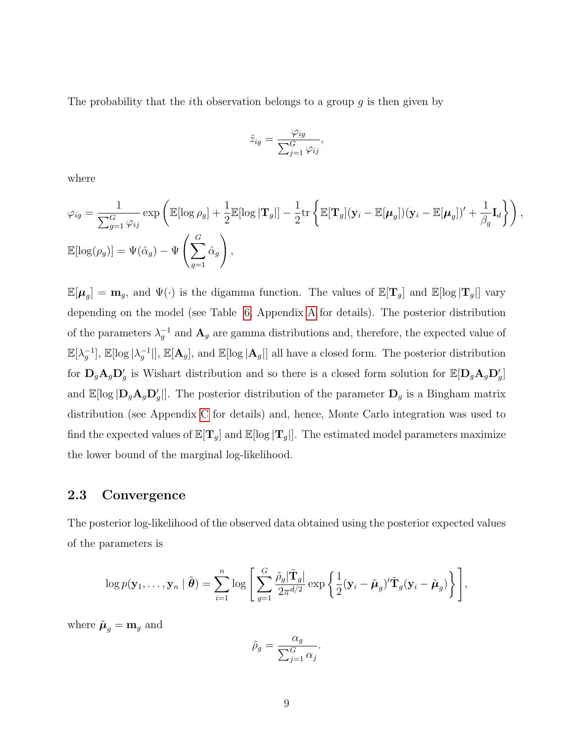The probability that the *i*th observation belongs to a group  $g$  is then given by

$$
\hat{z}_{ig} = \frac{\varphi_{ig}}{\sum_{j=1}^{G} \varphi_{ij}},
$$

where

$$
\varphi_{ig} = \frac{1}{\sum_{g=1}^{G} \varphi_{ij}} \exp \left( \mathbb{E}[\log \rho_g] + \frac{1}{2} \mathbb{E}[\log |\mathbf{T}_g|] - \frac{1}{2} \text{tr} \left\{ \mathbb{E}[\mathbf{T}_g] (\mathbf{y}_i - \mathbb{E}[\boldsymbol{\mu}_g]) (\mathbf{y}_i - \mathbb{E}[\boldsymbol{\mu}_g])' + \frac{1}{\beta_g} \mathbf{I}_d \right\} \right),
$$
  

$$
\mathbb{E}[\log(\rho_g)] = \Psi(\hat{\alpha}_g) - \Psi \left( \sum_{g=1}^{G} \hat{\alpha}_g \right),
$$

 $\mathbb{E}[\mu_g] = \mathbf{m}_g$ , and  $\Psi(\cdot)$  is the digamma function. The values of  $\mathbb{E}[\mathbf{T}_g]$  and  $\mathbb{E}[\log|\mathbf{T}_g|]$  vary depending on the model (see Table [6,](#page-26-0) Appendix [A](#page-26-1) for details). The posterior distribution of the parameters  $\lambda_g^{-1}$  and  $\mathbf{A}_g$  are gamma distributions and, therefore, the expected value of  $\mathbb{E}[\lambda_g^{-1}], \mathbb{E}[\log|\lambda_g^{-1}|], \mathbb{E}[\mathbf{A}_g],$  and  $\mathbb{E}[\log|\mathbf{A}_g|]$  all have a closed form. The posterior distribution for  $D_gA_gD'_g$  is Wishart distribution and so there is a closed form solution for  $\mathbb{E}[D_gA_gD'_g]$ and  $\mathbb{E}[\log |D_g \mathbf{A}_g \mathbf{D}_g' |]$ . The posterior distribution of the parameter  $\mathbf{D}_g$  is a Bingham matrix distribution (see Appendix [C](#page-29-0) for details) and, hence, Monte Carlo integration was used to find the expected values of  $\mathbb{E}[T_g]$  and  $\mathbb{E}[\log |T_g|]$ . The estimated model parameters maximize the lower bound of the marginal log-likelihood.

#### 2.3 Convergence

The posterior log-likelihood of the observed data obtained using the posterior expected values of the parameters is

$$
\log p(\mathbf{y}_1,\ldots,\mathbf{y}_n \mid \tilde{\boldsymbol{\theta}}) = \sum_{i=1}^n \log \left[ \sum_{g=1}^G \frac{\tilde{\rho}_g |\tilde{\mathbf{T}}_g|}{2\pi^{d/2}} \exp \left\{ \frac{1}{2} (\mathbf{y}_i - \tilde{\boldsymbol{\mu}}_g)' \tilde{\mathbf{T}}_g (\mathbf{y}_i - \tilde{\boldsymbol{\mu}}_g) \right\} \right],
$$

where  $\tilde{\boldsymbol{\mu}}_g = \mathbf{m}_g$  and

$$
\tilde{\rho}_g = \frac{\alpha_g}{\sum_{j=1}^G \alpha_j}.
$$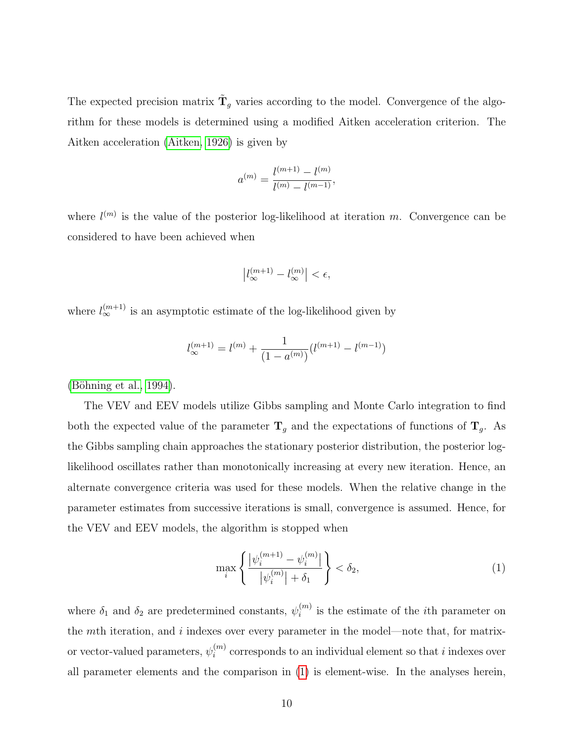The expected precision matrix  $\tilde{\mathbf{T}}_g$  varies according to the model. Convergence of the algorithm for these models is determined using a modified Aitken acceleration criterion. The Aitken acceleration [\(Aitken, 1926\)](#page-19-9) is given by

$$
a^{(m)} = \frac{l^{(m+1)} - l^{(m)}}{l^{(m)} - l^{(m-1)}},
$$

where  $l^{(m)}$  is the value of the posterior log-likelihood at iteration m. Convergence can be considered to have been achieved when

$$
\left|l_{\infty}^{(m+1)}-l_{\infty}^{(m)}\right|<\epsilon,
$$

where  $l_{\infty}^{(m+1)}$  is an asymptotic estimate of the log-likelihood given by

$$
l_{\infty}^{(m+1)}=l^{(m)}+\frac{1}{(1-a^{(m)})}(l^{(m+1)}-l^{(m-1)})
$$

 $(Böhning et al., 1994).$ 

The VEV and EEV models utilize Gibbs sampling and Monte Carlo integration to find both the expected value of the parameter  $\mathbf{T}_g$  and the expectations of functions of  $\mathbf{T}_g$ . As the Gibbs sampling chain approaches the stationary posterior distribution, the posterior loglikelihood oscillates rather than monotonically increasing at every new iteration. Hence, an alternate convergence criteria was used for these models. When the relative change in the parameter estimates from successive iterations is small, convergence is assumed. Hence, for the VEV and EEV models, the algorithm is stopped when

<span id="page-9-0"></span>
$$
\max_{i} \left\{ \frac{|\psi_i^{(m+1)} - \psi_i^{(m)}|}{|\psi_i^{(m)}| + \delta_1} \right\} < \delta_2,
$$
\n(1)

where  $\delta_1$  and  $\delta_2$  are predetermined constants,  $\psi_i^{(m)}$  $i^{(m)}$  is the estimate of the *i*<sup>th</sup> parameter on the  $m$ th iteration, and  $i$  indexes over every parameter in the model—note that, for matrixor vector-valued parameters,  $\psi_i^{(m)}$  $i^{(m)}$  corresponds to an individual element so that i indexes over all parameter elements and the comparison in [\(1\)](#page-9-0) is element-wise. In the analyses herein,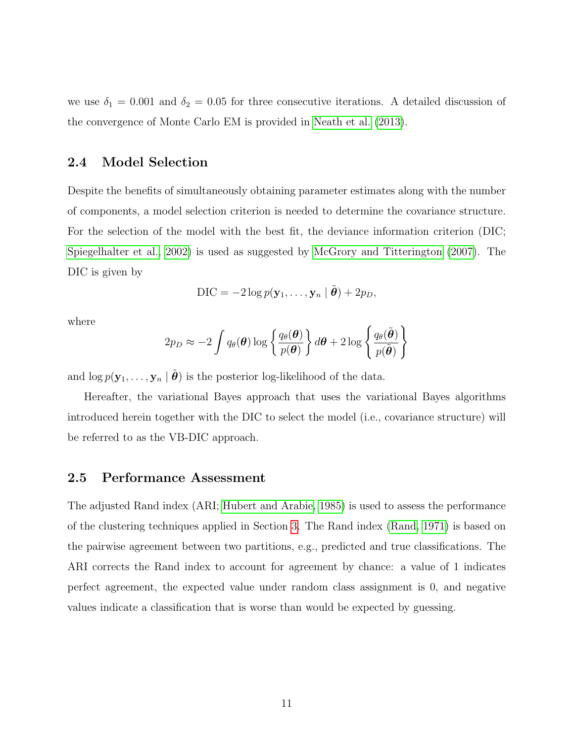we use  $\delta_1 = 0.001$  and  $\delta_2 = 0.05$  for three consecutive iterations. A detailed discussion of the convergence of Monte Carlo EM is provided in [Neath et al.](#page-23-10) [\(2013\)](#page-23-10).

#### 2.4 Model Selection

Despite the benefits of simultaneously obtaining parameter estimates along with the number of components, a model selection criterion is needed to determine the covariance structure. For the selection of the model with the best fit, the deviance information criterion (DIC; [Spiegelhalter et al., 2002\)](#page-24-11) is used as suggested by [McGrory and Titterington](#page-22-7) [\(2007\)](#page-22-7). The DIC is given by

$$
\text{DIC} = -2\log p(\mathbf{y}_1, \dots, \mathbf{y}_n \mid \tilde{\boldsymbol{\theta}}) + 2p_D,
$$

where

$$
2p_D \approx -2\int q_\theta(\boldsymbol{\theta})\log\left\{\frac{q_\theta(\boldsymbol{\theta})}{p(\boldsymbol{\theta})}\right\}d\boldsymbol{\theta} + 2\log\left\{\frac{q_\theta(\tilde{\boldsymbol{\theta}})}{p(\tilde{\boldsymbol{\theta}})}\right\}
$$

and  $\log p(\mathbf{y}_1, \ldots, \mathbf{y}_n | \tilde{\boldsymbol{\theta}})$  is the posterior log-likelihood of the data.

Hereafter, the variational Bayes approach that uses the variational Bayes algorithms introduced herein together with the DIC to select the model (i.e., covariance structure) will be referred to as the VB-DIC approach.

#### 2.5 Performance Assessment

The adjusted Rand index (ARI; [Hubert and Arabie, 1985\)](#page-21-7) is used to assess the performance of the clustering techniques applied in Section [3.](#page-11-0) The Rand index [\(Rand, 1971\)](#page-24-12) is based on the pairwise agreement between two partitions, e.g., predicted and true classifications. The ARI corrects the Rand index to account for agreement by chance: a value of 1 indicates perfect agreement, the expected value under random class assignment is 0, and negative values indicate a classification that is worse than would be expected by guessing.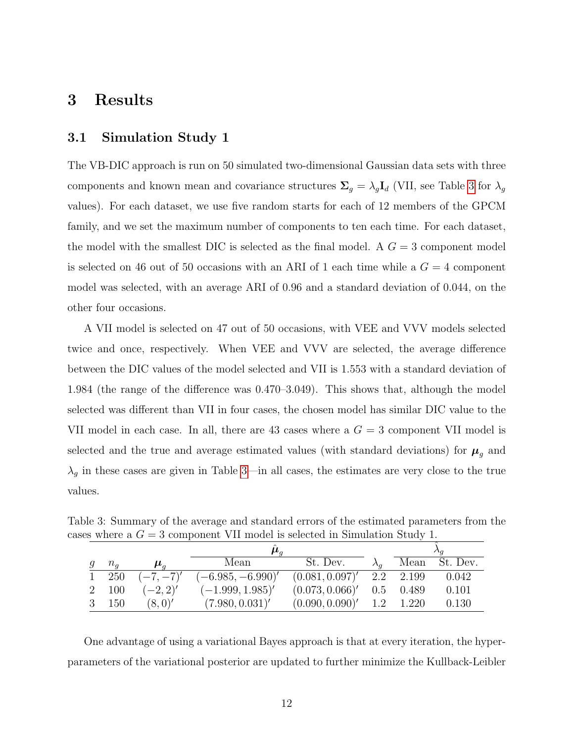## <span id="page-11-0"></span>3 Results

#### 3.1 Simulation Study 1

The VB-DIC approach is run on 50 simulated two-dimensional Gaussian data sets with three components and known mean and covariance structures  $\Sigma_g = \lambda_g \mathbf{I}_d$  (VII, see Table [3](#page-11-1) for  $\lambda_g$ values). For each dataset, we use five random starts for each of 12 members of the GPCM family, and we set the maximum number of components to ten each time. For each dataset, the model with the smallest DIC is selected as the final model. A  $G = 3$  component model is selected on 46 out of 50 occasions with an ARI of 1 each time while a  $G = 4$  component model was selected, with an average ARI of 0.96 and a standard deviation of 0.044, on the other four occasions.

A VII model is selected on 47 out of 50 occasions, with VEE and VVV models selected twice and once, respectively. When VEE and VVV are selected, the average difference between the DIC values of the model selected and VII is 1.553 with a standard deviation of 1.984 (the range of the difference was 0.470–3.049). This shows that, although the model selected was different than VII in four cases, the chosen model has similar DIC value to the VII model in each case. In all, there are 43 cases where a  $G = 3$  component VII model is selected and the true and average estimated values (with standard deviations) for  $\pmb{\mu}_g$  and  $\lambda_g$  in these cases are given in Table [3—](#page-11-1)in all cases, the estimates are very close to the true values.

<span id="page-11-1"></span>

|             |                      | $\boldsymbol{\mu}_a$ |                 |             | $\Delta a$ |
|-------------|----------------------|----------------------|-----------------|-------------|------------|
| $n_{\it a}$ | $\boldsymbol{\mu}_a$ | Mean                 | St. Dev.        | Mean        | St. Dev.   |
| 1 250       | $(-7, -7)'$          | $(-6.985, -6.990)'$  | (0.081, 0.097)' | 2.2 2.199   | 0.042      |
| 2 100       | $(-2, 2)'$           | $(-1.999, 1.985)'$   | (0.073, 0.066)' | $0.5$ 0.489 | 0.101      |
| 150         | (8,0)'               | (7.980, 0.031)'      | (0.090, 0.090)' | 1.2 1.220   | 0.130      |

Table 3: Summary of the average and standard errors of the estimated parameters from the cases where a  $G = 3$  component VII model is selected in Simulation Study 1.

One advantage of using a variational Bayes approach is that at every iteration, the hyperparameters of the variational posterior are updated to further minimize the Kullback-Leibler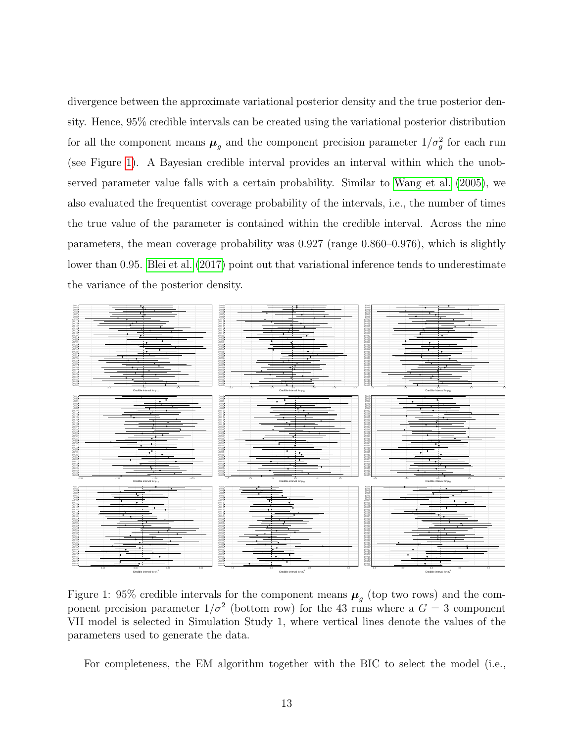divergence between the approximate variational posterior density and the true posterior density. Hence, 95% credible intervals can be created using the variational posterior distribution for all the component means  $\mu_g$  and the component precision parameter  $1/\sigma_g^2$  for each run (see Figure [1\)](#page-12-0). A Bayesian credible interval provides an interval within which the unobserved parameter value falls with a certain probability. Similar to [Wang et al.](#page-25-4) [\(2005\)](#page-25-4), we also evaluated the frequentist coverage probability of the intervals, i.e., the number of times the true value of the parameter is contained within the credible interval. Across the nine parameters, the mean coverage probability was 0.927 (range 0.860–0.976), which is slightly lower than 0.95. [Blei et al.](#page-19-11) [\(2017\)](#page-19-11) point out that variational inference tends to underestimate the variance of the posterior density.



<span id="page-12-0"></span>Figure 1: 95% credible intervals for the component means  $\mu_g$  (top two rows) and the component precision parameter  $1/\sigma^2$  (bottom row) for the 43 runs where a  $G = 3$  component VII model is selected in Simulation Study 1, where vertical lines denote the values of the parameters used to generate the data.

For completeness, the EM algorithm together with the BIC to select the model (i.e.,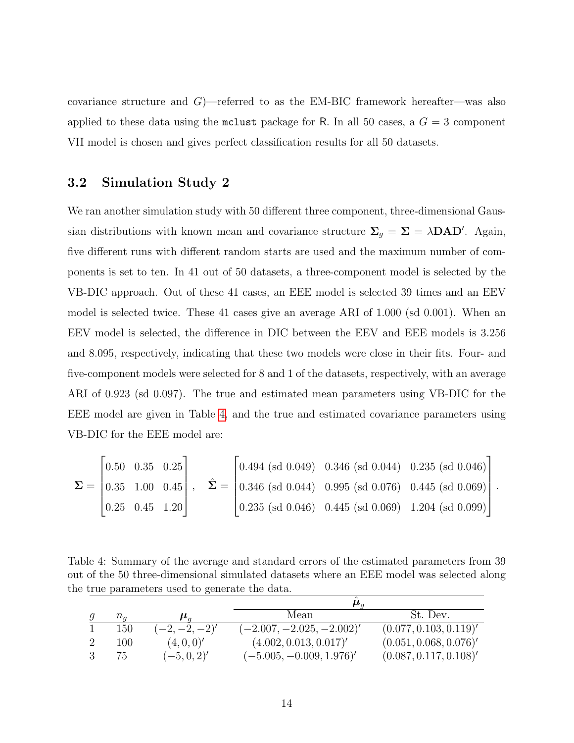covariance structure and  $G$ )—referred to as the EM-BIC framework hereafter—was also applied to these data using the mclust package for R. In all 50 cases, a  $G = 3$  component VII model is chosen and gives perfect classification results for all 50 datasets.

#### 3.2 Simulation Study 2

We ran another simulation study with 50 different three component, three-dimensional Gaussian distributions with known mean and covariance structure  $\Sigma_g = \Sigma = \lambda \mathbf{D} \mathbf{A} \mathbf{D}'$ . Again, five different runs with different random starts are used and the maximum number of components is set to ten. In 41 out of 50 datasets, a three-component model is selected by the VB-DIC approach. Out of these 41 cases, an EEE model is selected 39 times and an EEV model is selected twice. These 41 cases give an average ARI of 1.000 (sd 0.001). When an EEV model is selected, the difference in DIC between the EEV and EEE models is 3.256 and 8.095, respectively, indicating that these two models were close in their fits. Four- and five-component models were selected for 8 and 1 of the datasets, respectively, with an average ARI of 0.923 (sd 0.097). The true and estimated mean parameters using VB-DIC for the EEE model are given in Table [4,](#page-13-0) and the true and estimated covariance parameters using VB-DIC for the EEE model are:

$$
\mathbf{\Sigma} = \begin{bmatrix} 0.50 & 0.35 & 0.25 \\ 0.35 & 1.00 & 0.45 \\ 0.25 & 0.45 & 1.20 \end{bmatrix}, \quad \hat{\mathbf{\Sigma}} = \begin{bmatrix} 0.494 \ (\text{sd } 0.049) & 0.346 \ (\text{sd } 0.044) & 0.235 \ (\text{sd } 0.044) & 0.235 \ (\text{sd } 0.076) & 0.445 \ (\text{sd } 0.069) \\ 0.235 \ (\text{sd } 0.046) & 0.445 \ (\text{sd } 0.069) & 1.204 \ (\text{sd } 0.099) \end{bmatrix}.
$$

<span id="page-13-0"></span>Table 4: Summary of the average and standard errors of the estimated parameters from 39 out of the 50 three-dimensional simulated datasets where an EEE model was selected along the true parameters used to generate the data.

| $n_{q}$ | $\boldsymbol{\mu}_a$ | Mean                        | St. Dev.               |
|---------|----------------------|-----------------------------|------------------------|
| 150     | $(-2,-2,-2)'$        | $(-2.007, -2.025, -2.002)'$ | (0.077, 0.103, 0.119)' |
| 100     | (4,0,0)'             | (4.002, 0.013, 0.017)'      | (0.051, 0.068, 0.076)' |
| 75      | $(-5, 0, 2)'$        | $(-5.005, -0.009, 1.976)'$  | (0.087, 0.117, 0.108)' |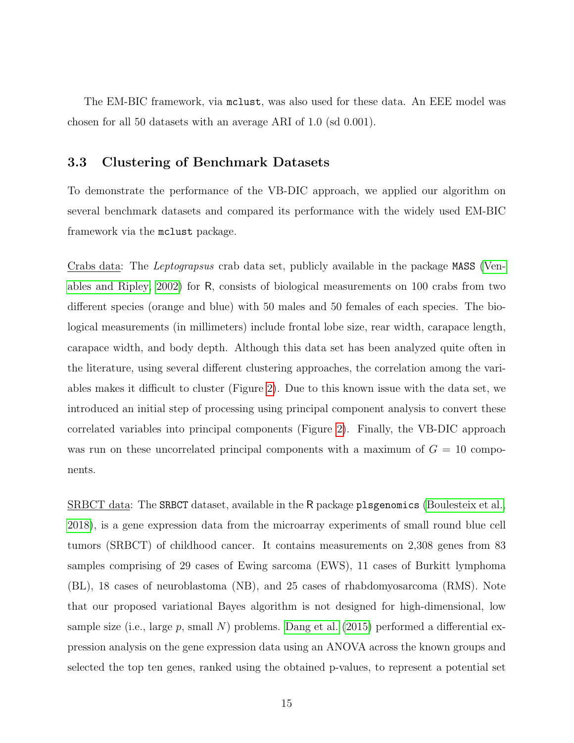The EM-BIC framework, via mclust, was also used for these data. An EEE model was chosen for all 50 datasets with an average ARI of 1.0 (sd 0.001).

#### 3.3 Clustering of Benchmark Datasets

To demonstrate the performance of the VB-DIC approach, we applied our algorithm on several benchmark datasets and compared its performance with the widely used EM-BIC framework via the mclust package.

Crabs data: The Leptograpsus crab data set, publicly available in the package MASS [\(Ven](#page-25-5)[ables and Ripley, 2002\)](#page-25-5) for R, consists of biological measurements on 100 crabs from two different species (orange and blue) with 50 males and 50 females of each species. The biological measurements (in millimeters) include frontal lobe size, rear width, carapace length, carapace width, and body depth. Although this data set has been analyzed quite often in the literature, using several different clustering approaches, the correlation among the variables makes it difficult to cluster (Figure [2\)](#page-15-0). Due to this known issue with the data set, we introduced an initial step of processing using principal component analysis to convert these correlated variables into principal components (Figure [2\)](#page-15-0). Finally, the VB-DIC approach was run on these uncorrelated principal components with a maximum of  $G = 10$  components.

SRBCT data: The SRBCT dataset, available in the R package plsgenomics [\(Boulesteix et al.,](#page-20-13) [2018\)](#page-20-13), is a gene expression data from the microarray experiments of small round blue cell tumors (SRBCT) of childhood cancer. It contains measurements on 2,308 genes from 83 samples comprising of 29 cases of Ewing sarcoma (EWS), 11 cases of Burkitt lymphoma (BL), 18 cases of neuroblastoma (NB), and 25 cases of rhabdomyosarcoma (RMS). Note that our proposed variational Bayes algorithm is not designed for high-dimensional, low sample size (i.e., large p, small N) problems. [Dang et al.](#page-20-2) [\(2015\)](#page-20-2) performed a differential expression analysis on the gene expression data using an ANOVA across the known groups and selected the top ten genes, ranked using the obtained p-values, to represent a potential set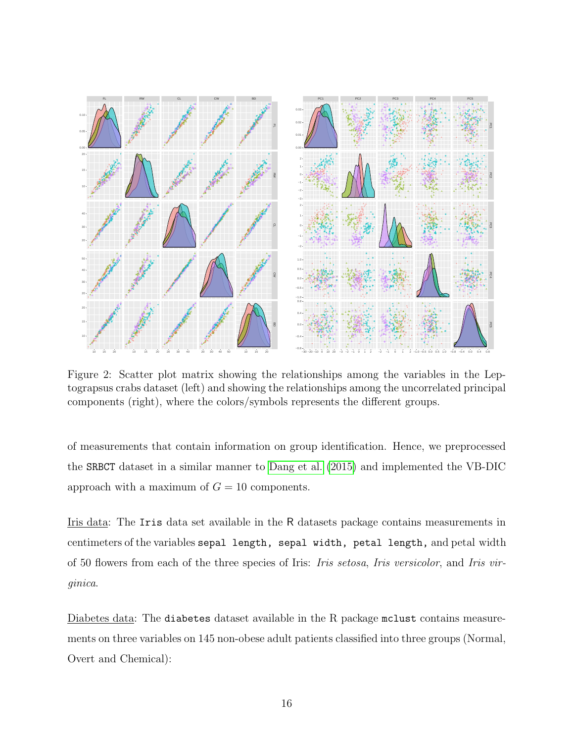

<span id="page-15-0"></span>Figure 2: Scatter plot matrix showing the relationships among the variables in the Leptograpsus crabs dataset (left) and showing the relationships among the uncorrelated principal components (right), where the colors/symbols represents the different groups.

of measurements that contain information on group identification. Hence, we preprocessed the SRBCT dataset in a similar manner to [Dang et al.](#page-20-2) [\(2015\)](#page-20-2) and implemented the VB-DIC approach with a maximum of  $G = 10$  components.

Iris data: The Iris data set available in the R datasets package contains measurements in centimeters of the variables sepal length, sepal width, petal length, and petal width of 50 flowers from each of the three species of Iris: Iris setosa, Iris versicolor, and Iris virginica.

Diabetes data: The diabetes dataset available in the R package mclust contains measurements on three variables on 145 non-obese adult patients classified into three groups (Normal, Overt and Chemical):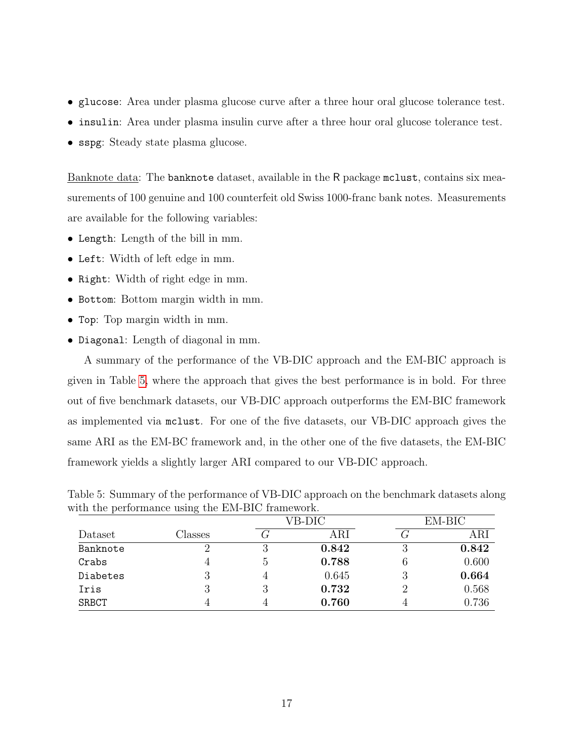- glucose: Area under plasma glucose curve after a three hour oral glucose tolerance test.
- insulin: Area under plasma insulin curve after a three hour oral glucose tolerance test.
- sspg: Steady state plasma glucose.

Banknote data: The banknote dataset, available in the R package mclust, contains six measurements of 100 genuine and 100 counterfeit old Swiss 1000-franc bank notes. Measurements are available for the following variables:

- Length: Length of the bill in mm.
- Left: Width of left edge in mm.
- Right: Width of right edge in mm.
- Bottom: Bottom margin width in mm.
- Top: Top margin width in mm.
- Diagonal: Length of diagonal in mm.

A summary of the performance of the VB-DIC approach and the EM-BIC approach is given in Table [5,](#page-16-0) where the approach that gives the best performance is in bold. For three out of five benchmark datasets, our VB-DIC approach outperforms the EM-BIC framework as implemented via mclust. For one of the five datasets, our VB-DIC approach gives the same ARI as the EM-BC framework and, in the other one of the five datasets, the EM-BIC framework yields a slightly larger ARI compared to our VB-DIC approach.

<span id="page-16-0"></span>Table 5: Summary of the performance of VB-DIC approach on the benchmark datasets along with the performance using the EM-BIC framework.

| ◡       |               |             |                |             |
|---------|---------------|-------------|----------------|-------------|
|         |               |             |                | $EM-BIC$    |
| Classes |               | ${\rm ARI}$ | $\mathbf \tau$ | ${\rm ARI}$ |
|         | 3             | 0.842       | 3              | 0.842       |
|         | $\mathcal{C}$ | 0.788       | 6              | 0.600       |
|         | 4             | 0.645       | 3              | 0.664       |
|         | 3             | 0.732       | റ              | 0.568       |
|         |               | 0.760       |                | 0.736       |
|         |               |             | VB-DIC         |             |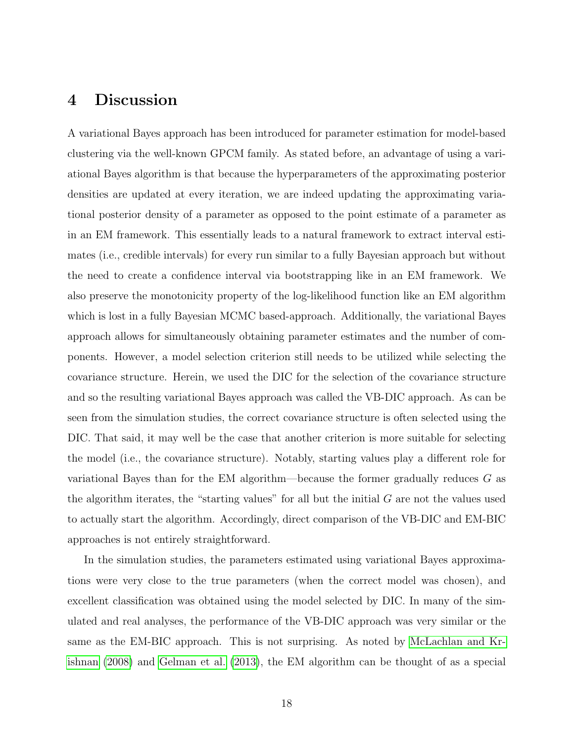## 4 Discussion

A variational Bayes approach has been introduced for parameter estimation for model-based clustering via the well-known GPCM family. As stated before, an advantage of using a variational Bayes algorithm is that because the hyperparameters of the approximating posterior densities are updated at every iteration, we are indeed updating the approximating variational posterior density of a parameter as opposed to the point estimate of a parameter as in an EM framework. This essentially leads to a natural framework to extract interval estimates (i.e., credible intervals) for every run similar to a fully Bayesian approach but without the need to create a confidence interval via bootstrapping like in an EM framework. We also preserve the monotonicity property of the log-likelihood function like an EM algorithm which is lost in a fully Bayesian MCMC based-approach. Additionally, the variational Bayes approach allows for simultaneously obtaining parameter estimates and the number of components. However, a model selection criterion still needs to be utilized while selecting the covariance structure. Herein, we used the DIC for the selection of the covariance structure and so the resulting variational Bayes approach was called the VB-DIC approach. As can be seen from the simulation studies, the correct covariance structure is often selected using the DIC. That said, it may well be the case that another criterion is more suitable for selecting the model (i.e., the covariance structure). Notably, starting values play a different role for variational Bayes than for the EM algorithm—because the former gradually reduces G as the algorithm iterates, the "starting values" for all but the initial  $G$  are not the values used to actually start the algorithm. Accordingly, direct comparison of the VB-DIC and EM-BIC approaches is not entirely straightforward.

In the simulation studies, the parameters estimated using variational Bayes approximations were very close to the true parameters (when the correct model was chosen), and excellent classification was obtained using the model selected by DIC. In many of the simulated and real analyses, the performance of the VB-DIC approach was very similar or the same as the EM-BIC approach. This is not surprising. As noted by [McLachlan and Kr](#page-22-10)[ishnan](#page-22-10) [\(2008\)](#page-22-10) and [Gelman et al.](#page-21-8) [\(2013\)](#page-21-8), the EM algorithm can be thought of as a special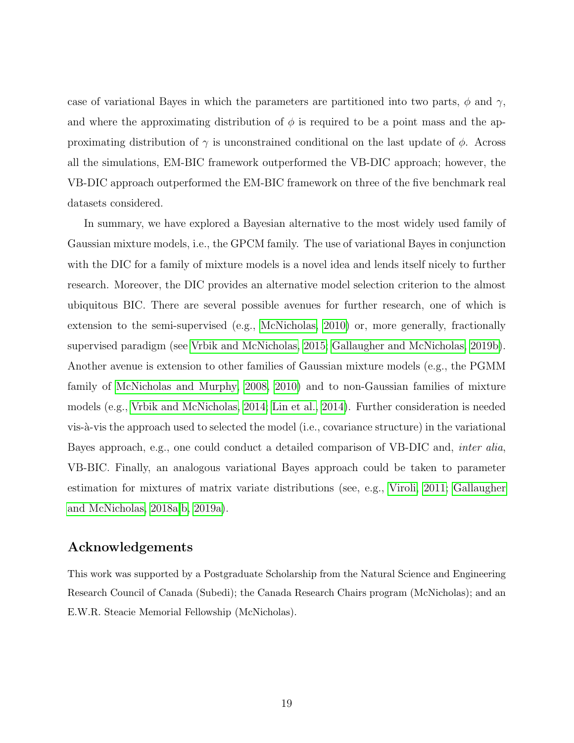case of variational Bayes in which the parameters are partitioned into two parts,  $\phi$  and  $\gamma$ , and where the approximating distribution of  $\phi$  is required to be a point mass and the approximating distribution of  $\gamma$  is unconstrained conditional on the last update of  $\phi$ . Across all the simulations, EM-BIC framework outperformed the VB-DIC approach; however, the VB-DIC approach outperformed the EM-BIC framework on three of the five benchmark real datasets considered.

In summary, we have explored a Bayesian alternative to the most widely used family of Gaussian mixture models, i.e., the GPCM family. The use of variational Bayes in conjunction with the DIC for a family of mixture models is a novel idea and lends itself nicely to further research. Moreover, the DIC provides an alternative model selection criterion to the almost ubiquitous BIC. There are several possible avenues for further research, one of which is extension to the semi-supervised (e.g., [McNicholas, 2010\)](#page-22-11) or, more generally, fractionally supervised paradigm (see [Vrbik and McNicholas, 2015;](#page-25-6) [Gallaugher and McNicholas, 2019b\)](#page-21-3). Another avenue is extension to other families of Gaussian mixture models (e.g., the PGMM family of [McNicholas and Murphy, 2008,](#page-23-11) [2010\)](#page-23-12) and to non-Gaussian families of mixture models (e.g., [Vrbik and McNicholas, 2014;](#page-25-1) [Lin et al., 2014\)](#page-22-2). Further consideration is needed vis- $\alpha$ -vis the approach used to selected the model (i.e., covariance structure) in the variational Bayes approach, e.g., one could conduct a detailed comparison of VB-DIC and, inter alia, VB-BIC. Finally, an analogous variational Bayes approach could be taken to parameter estimation for mixtures of matrix variate distributions (see, e.g., [Viroli, 2011;](#page-25-7) [Gallaugher](#page-21-9) [and McNicholas, 2018a](#page-21-9)[,b,](#page-21-10) [2019a\)](#page-21-11).

#### Acknowledgements

This work was supported by a Postgraduate Scholarship from the Natural Science and Engineering Research Council of Canada (Subedi); the Canada Research Chairs program (McNicholas); and an E.W.R. Steacie Memorial Fellowship (McNicholas).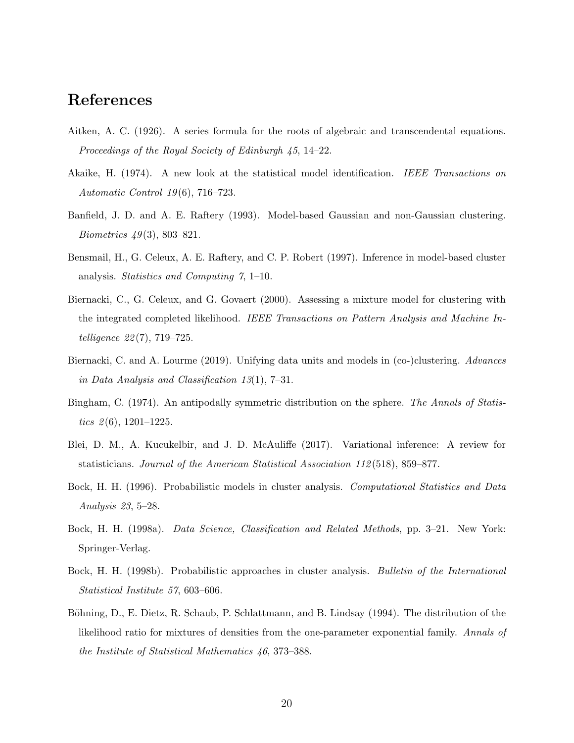## References

- <span id="page-19-9"></span>Aitken, A. C. (1926). A series formula for the roots of algebraic and transcendental equations. Proceedings of the Royal Society of Edinburgh 45, 14–22.
- <span id="page-19-6"></span>Akaike, H. (1974). A new look at the statistical model identification. IEEE Transactions on Automatic Control 19 (6), 716–723.
- <span id="page-19-0"></span>Banfield, J. D. and A. E. Raftery (1993). Model-based Gaussian and non-Gaussian clustering. *Biometrics*  $49(3)$ , 803–821.
- <span id="page-19-7"></span>Bensmail, H., G. Celeux, A. E. Raftery, and C. P. Robert (1997). Inference in model-based cluster analysis. Statistics and Computing 7, 1–10.
- <span id="page-19-5"></span>Biernacki, C., G. Celeux, and G. Govaert (2000). Assessing a mixture model for clustering with the integrated completed likelihood. IEEE Transactions on Pattern Analysis and Machine Intelligence 22 (7), 719–725.
- <span id="page-19-4"></span>Biernacki, C. and A. Lourme (2019). Unifying data units and models in (co-)clustering. Advances in Data Analysis and Classification 13(1), 7–31.
- <span id="page-19-8"></span>Bingham, C. (1974). An antipodally symmetric distribution on the sphere. The Annals of Statistics  $\mathcal{Q}(6)$ , 1201–1225.
- <span id="page-19-11"></span>Blei, D. M., A. Kucukelbir, and J. D. McAuliffe (2017). Variational inference: A review for statisticians. Journal of the American Statistical Association 112 (518), 859–877.
- <span id="page-19-1"></span>Bock, H. H. (1996). Probabilistic models in cluster analysis. Computational Statistics and Data Analysis 23, 5–28.
- <span id="page-19-2"></span>Bock, H. H. (1998a). Data Science, Classification and Related Methods, pp. 3–21. New York: Springer-Verlag.
- <span id="page-19-3"></span>Bock, H. H. (1998b). Probabilistic approaches in cluster analysis. Bulletin of the International Statistical Institute 57, 603–606.
- <span id="page-19-10"></span>Böhning, D., E. Dietz, R. Schaub, P. Schlattmann, and B. Lindsay (1994). The distribution of the likelihood ratio for mixtures of densities from the one-parameter exponential family. Annals of the Institute of Statistical Mathematics 46, 373–388.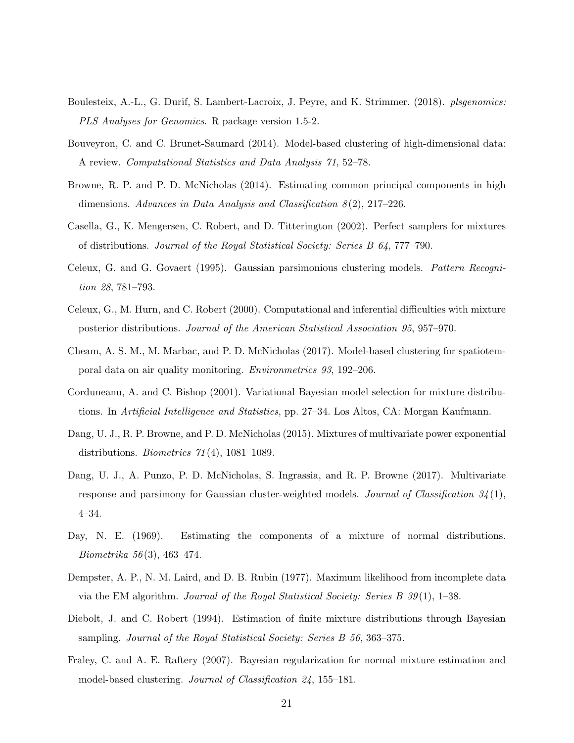- <span id="page-20-13"></span>Boulesteix, A.-L., G. Durif, S. Lambert-Lacroix, J. Peyre, and K. Strimmer. (2018). plsgenomics: PLS Analyses for Genomics. R package version 1.5-2.
- <span id="page-20-5"></span>Bouveyron, C. and C. Brunet-Saumard (2014). Model-based clustering of high-dimensional data: A review. Computational Statistics and Data Analysis 71, 52–78.
- <span id="page-20-11"></span>Browne, R. P. and P. D. McNicholas (2014). Estimating common principal components in high dimensions. Advances in Data Analysis and Classification  $8(2)$ , 217–226.
- <span id="page-20-8"></span>Casella, G., K. Mengersen, C. Robert, and D. Titterington (2002). Perfect samplers for mixtures of distributions. Journal of the Royal Statistical Society: Series B 64, 777–790.
- <span id="page-20-1"></span>Celeux, G. and G. Govaert (1995). Gaussian parsimonious clustering models. Pattern Recognition 28, 781–793.
- <span id="page-20-9"></span>Celeux, G., M. Hurn, and C. Robert (2000). Computational and inferential difficulties with mixture posterior distributions. Journal of the American Statistical Association 95, 957–970.
- <span id="page-20-4"></span>Cheam, A. S. M., M. Marbac, and P. D. McNicholas (2017). Model-based clustering for spatiotemporal data on air quality monitoring. Environmetrics 93, 192–206.
- <span id="page-20-10"></span>Corduneanu, A. and C. Bishop (2001). Variational Bayesian model selection for mixture distributions. In Artificial Intelligence and Statistics, pp. 27–34. Los Altos, CA: Morgan Kaufmann.
- <span id="page-20-2"></span>Dang, U. J., R. P. Browne, and P. D. McNicholas (2015). Mixtures of multivariate power exponential distributions. *Biometrics*  $71(4)$ , 1081–1089.
- <span id="page-20-3"></span>Dang, U. J., A. Punzo, P. D. McNicholas, S. Ingrassia, and R. P. Browne (2017). Multivariate response and parsimony for Gaussian cluster-weighted models. Journal of Classification  $34(1)$ , 4–34.
- <span id="page-20-0"></span>Day, N. E. (1969). Estimating the components of a mixture of normal distributions. Biometrika 56 (3), 463–474.
- <span id="page-20-6"></span>Dempster, A. P., N. M. Laird, and D. B. Rubin (1977). Maximum likelihood from incomplete data via the EM algorithm. Journal of the Royal Statistical Society: Series B  $39(1)$ , 1–38.
- <span id="page-20-7"></span>Diebolt, J. and C. Robert (1994). Estimation of finite mixture distributions through Bayesian sampling. Journal of the Royal Statistical Society: Series B 56, 363–375.
- <span id="page-20-12"></span>Fraley, C. and A. E. Raftery (2007). Bayesian regularization for normal mixture estimation and model-based clustering. Journal of Classification 24, 155–181.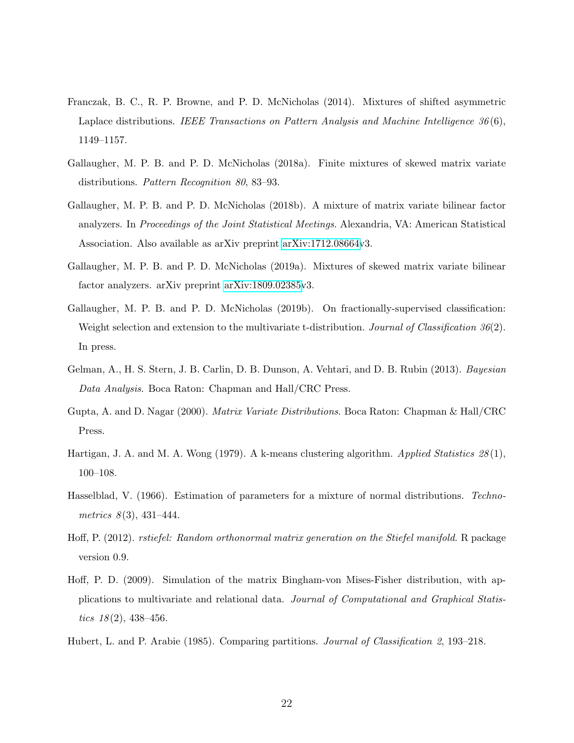- <span id="page-21-2"></span>Franczak, B. C., R. P. Browne, and P. D. McNicholas (2014). Mixtures of shifted asymmetric Laplace distributions. IEEE Transactions on Pattern Analysis and Machine Intelligence  $36(6)$ , 1149–1157.
- <span id="page-21-9"></span>Gallaugher, M. P. B. and P. D. McNicholas (2018a). Finite mixtures of skewed matrix variate distributions. Pattern Recognition 80, 83–93.
- <span id="page-21-10"></span>Gallaugher, M. P. B. and P. D. McNicholas (2018b). A mixture of matrix variate bilinear factor analyzers. In Proceedings of the Joint Statistical Meetings. Alexandria, VA: American Statistical Association. Also available as arXiv preprint [arXiv:1712.08664v](http://arxiv.org/abs/1712.08664)3.
- <span id="page-21-11"></span>Gallaugher, M. P. B. and P. D. McNicholas (2019a). Mixtures of skewed matrix variate bilinear factor analyzers. arXiv preprint [arXiv:1809.02385v](http://arxiv.org/abs/1809.02385)3.
- <span id="page-21-3"></span>Gallaugher, M. P. B. and P. D. McNicholas (2019b). On fractionally-supervised classification: Weight selection and extension to the multivariate t-distribution. Journal of Classification 36(2). In press.
- <span id="page-21-8"></span>Gelman, A., H. S. Stern, J. B. Carlin, D. B. Dunson, A. Vehtari, and D. B. Rubin (2013). Bayesian Data Analysis. Boca Raton: Chapman and Hall/CRC Press.
- <span id="page-21-4"></span>Gupta, A. and D. Nagar (2000). Matrix Variate Distributions. Boca Raton: Chapman & Hall/CRC Press.
- <span id="page-21-0"></span>Hartigan, J. A. and M. A. Wong (1979). A k-means clustering algorithm. Applied Statistics 28(1), 100–108.
- <span id="page-21-1"></span>Hasselblad, V. (1966). Estimation of parameters for a mixture of normal distributions. Technometrics  $8(3)$ , 431–444.
- <span id="page-21-6"></span>Hoff, P. (2012). rstiefel: Random orthonormal matrix generation on the Stiefel manifold. R package version 0.9.
- <span id="page-21-5"></span>Hoff, P. D. (2009). Simulation of the matrix Bingham-von Mises-Fisher distribution, with applications to multivariate and relational data. Journal of Computational and Graphical Statistics  $18(2)$ ,  $438-456$ .
- <span id="page-21-7"></span>Hubert, L. and P. Arabie (1985). Comparing partitions. Journal of Classification 2, 193–218.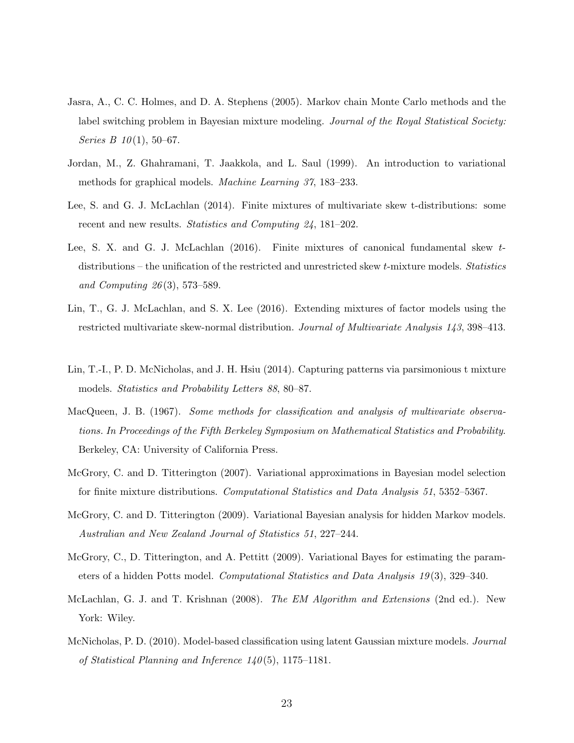- <span id="page-22-5"></span>Jasra, A., C. C. Holmes, and D. A. Stephens (2005). Markov chain Monte Carlo methods and the label switching problem in Bayesian mixture modeling. Journal of the Royal Statistical Society: Series B  $10(1)$ , 50–67.
- <span id="page-22-6"></span>Jordan, M., Z. Ghahramani, T. Jaakkola, and L. Saul (1999). An introduction to variational methods for graphical models. Machine Learning 37, 183–233.
- <span id="page-22-1"></span>Lee, S. and G. J. McLachlan (2014). Finite mixtures of multivariate skew t-distributions: some recent and new results. Statistics and Computing 24, 181–202.
- <span id="page-22-4"></span>Lee, S. X. and G. J. McLachlan (2016). Finite mixtures of canonical fundamental skew tdistributions – the unification of the restricted and unrestricted skew  $t$ -mixture models. Statistics and Computing 26 (3), 573–589.
- <span id="page-22-3"></span>Lin, T., G. J. McLachlan, and S. X. Lee (2016). Extending mixtures of factor models using the restricted multivariate skew-normal distribution. Journal of Multivariate Analysis 143, 398–413.
- <span id="page-22-2"></span>Lin, T.-I., P. D. McNicholas, and J. H. Hsiu (2014). Capturing patterns via parsimonious t mixture models. Statistics and Probability Letters 88, 80–87.
- <span id="page-22-0"></span>MacQueen, J. B. (1967). Some methods for classification and analysis of multivariate observations. In Proceedings of the Fifth Berkeley Symposium on Mathematical Statistics and Probability. Berkeley, CA: University of California Press.
- <span id="page-22-7"></span>McGrory, C. and D. Titterington (2007). Variational approximations in Bayesian model selection for finite mixture distributions. Computational Statistics and Data Analysis 51, 5352–5367.
- <span id="page-22-8"></span>McGrory, C. and D. Titterington (2009). Variational Bayesian analysis for hidden Markov models. Australian and New Zealand Journal of Statistics 51, 227–244.
- <span id="page-22-9"></span>McGrory, C., D. Titterington, and A. Pettitt (2009). Variational Bayes for estimating the parameters of a hidden Potts model. Computational Statistics and Data Analysis 19 (3), 329–340.
- <span id="page-22-10"></span>McLachlan, G. J. and T. Krishnan (2008). The EM Algorithm and Extensions (2nd ed.). New York: Wiley.
- <span id="page-22-11"></span>McNicholas, P. D. (2010). Model-based classification using latent Gaussian mixture models. Journal of Statistical Planning and Inference  $140(5)$ , 1175–1181.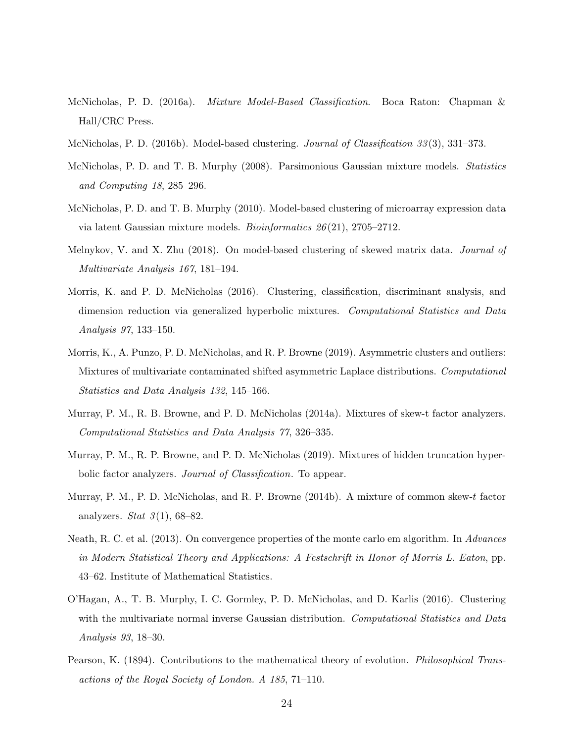- <span id="page-23-9"></span>McNicholas, P. D. (2016a). Mixture Model-Based Classification. Boca Raton: Chapman & Hall/CRC Press.
- <span id="page-23-8"></span>McNicholas, P. D. (2016b). Model-based clustering. *Journal of Classification 33* (3), 331–373.
- <span id="page-23-11"></span>McNicholas, P. D. and T. B. Murphy (2008). Parsimonious Gaussian mixture models. Statistics and Computing 18, 285–296.
- <span id="page-23-12"></span>McNicholas, P. D. and T. B. Murphy (2010). Model-based clustering of microarray expression data via latent Gaussian mixture models. *Bioinformatics*  $26(21)$ ,  $2705-2712$ .
- <span id="page-23-5"></span>Melnykov, V. and X. Zhu (2018). On model-based clustering of skewed matrix data. Journal of Multivariate Analysis 167, 181–194.
- <span id="page-23-3"></span>Morris, K. and P. D. McNicholas (2016). Clustering, classification, discriminant analysis, and dimension reduction via generalized hyperbolic mixtures. Computational Statistics and Data Analysis 97, 133–150.
- <span id="page-23-7"></span>Morris, K., A. Punzo, P. D. McNicholas, and R. P. Browne (2019). Asymmetric clusters and outliers: Mixtures of multivariate contaminated shifted asymmetric Laplace distributions. Computational Statistics and Data Analysis 132, 145–166.
- <span id="page-23-1"></span>Murray, P. M., R. B. Browne, and P. D. McNicholas (2014a). Mixtures of skew-t factor analyzers. Computational Statistics and Data Analysis 77, 326–335.
- <span id="page-23-6"></span>Murray, P. M., R. P. Browne, and P. D. McNicholas (2019). Mixtures of hidden truncation hyperbolic factor analyzers. *Journal of Classification*. To appear.
- <span id="page-23-2"></span>Murray, P. M., P. D. McNicholas, and R. P. Browne (2014b). A mixture of common skew-t factor analyzers. Stat  $3(1)$ , 68-82.
- <span id="page-23-10"></span>Neath, R. C. et al. (2013). On convergence properties of the monte carlo em algorithm. In Advances in Modern Statistical Theory and Applications: A Festschrift in Honor of Morris L. Eaton, pp. 43–62. Institute of Mathematical Statistics.
- <span id="page-23-4"></span>O'Hagan, A., T. B. Murphy, I. C. Gormley, P. D. McNicholas, and D. Karlis (2016). Clustering with the multivariate normal inverse Gaussian distribution. Computational Statistics and Data Analysis 93, 18–30.
- <span id="page-23-0"></span>Pearson, K. (1894). Contributions to the mathematical theory of evolution. Philosophical Transactions of the Royal Society of London. A 185, 71–110.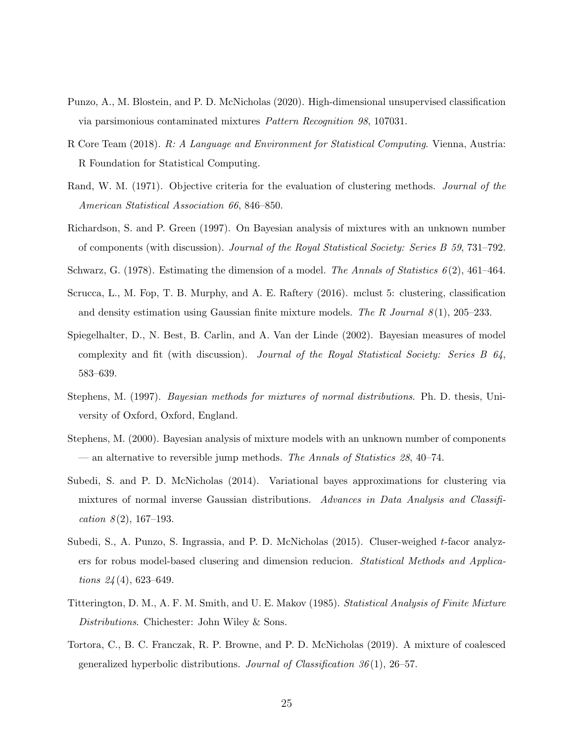- <span id="page-24-2"></span>Punzo, A., M. Blostein, and P. D. McNicholas (2020). High-dimensional unsupervised classification via parsimonious contaminated mixtures Pattern Recognition 98, 107031.
- <span id="page-24-10"></span>R Core Team (2018). R: A Language and Environment for Statistical Computing. Vienna, Austria: R Foundation for Statistical Computing.
- <span id="page-24-12"></span>Rand, W. M. (1971). Objective criteria for the evaluation of clustering methods. Journal of the American Statistical Association 66, 846–850.
- <span id="page-24-5"></span>Richardson, S. and P. Green (1997). On Bayesian analysis of mixtures with an unknown number of components (with discussion). Journal of the Royal Statistical Society: Series B 59, 731–792.
- <span id="page-24-9"></span><span id="page-24-4"></span>Schwarz, G. (1978). Estimating the dimension of a model. The Annals of Statistics  $6(2)$ , 461–464.
- Scrucca, L., M. Fop, T. B. Murphy, and A. E. Raftery (2016). mclust 5: clustering, classification and density estimation using Gaussian finite mixture models. The R Journal  $8(1)$ , 205–233.
- <span id="page-24-11"></span>Spiegelhalter, D., N. Best, B. Carlin, and A. Van der Linde (2002). Bayesian measures of model complexity and fit (with discussion). Journal of the Royal Statistical Society: Series B 64, 583–639.
- <span id="page-24-6"></span>Stephens, M. (1997). Bayesian methods for mixtures of normal distributions. Ph. D. thesis, University of Oxford, Oxford, England.
- <span id="page-24-7"></span>Stephens, M. (2000). Bayesian analysis of mixture models with an unknown number of components — an alternative to reversible jump methods. The Annals of Statistics 28, 40–74.
- <span id="page-24-8"></span>Subedi, S. and P. D. McNicholas (2014). Variational bayes approximations for clustering via mixtures of normal inverse Gaussian distributions. Advances in Data Analysis and Classification  $8(2)$ , 167-193.
- <span id="page-24-0"></span>Subedi, S., A. Punzo, S. Ingrassia, and P. D. McNicholas (2015). Cluser-weighed t-facor analyzers for robus model-based clusering and dimension reducion. Statistical Methods and Applications  $24(4)$ , 623-649.
- <span id="page-24-3"></span>Titterington, D. M., A. F. M. Smith, and U. E. Makov (1985). Statistical Analysis of Finite Mixture Distributions. Chichester: John Wiley & Sons.
- <span id="page-24-1"></span>Tortora, C., B. C. Franczak, R. P. Browne, and P. D. McNicholas (2019). A mixture of coalesced generalized hyperbolic distributions. Journal of Classification  $36(1)$ , 26–57.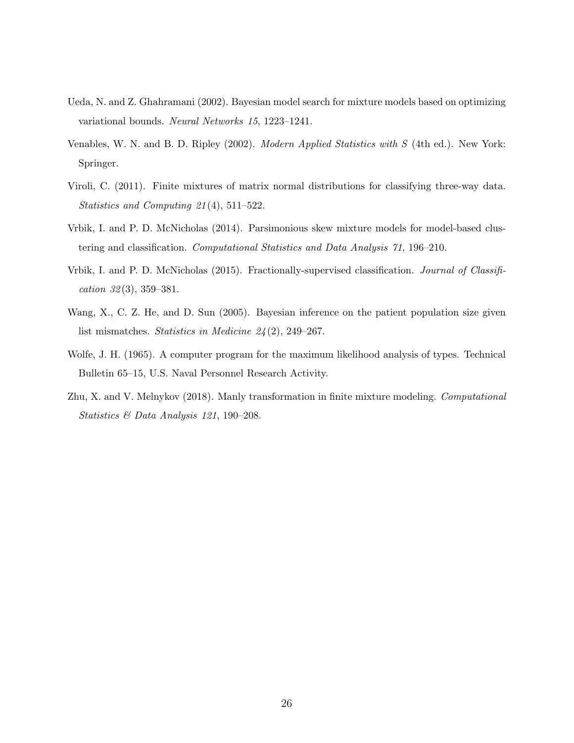- <span id="page-25-3"></span>Ueda, N. and Z. Ghahramani (2002). Bayesian model search for mixture models based on optimizing variational bounds. Neural Networks 15, 1223–1241.
- <span id="page-25-5"></span>Venables, W. N. and B. D. Ripley (2002). Modern Applied Statistics with S (4th ed.). New York: Springer.
- <span id="page-25-7"></span>Viroli, C. (2011). Finite mixtures of matrix normal distributions for classifying three-way data. Statistics and Computing 21 (4), 511–522.
- <span id="page-25-1"></span>Vrbik, I. and P. D. McNicholas (2014). Parsimonious skew mixture models for model-based clustering and classification. Computational Statistics and Data Analysis 71, 196–210.
- <span id="page-25-6"></span>Vrbik, I. and P. D. McNicholas (2015). Fractionally-supervised classification. Journal of Classification  $32(3)$ ,  $359-381$ .
- <span id="page-25-4"></span>Wang, X., C. Z. He, and D. Sun (2005). Bayesian inference on the patient population size given list mismatches. Statistics in Medicine  $24(2)$ , 249–267.
- <span id="page-25-0"></span>Wolfe, J. H. (1965). A computer program for the maximum likelihood analysis of types. Technical Bulletin 65–15, U.S. Naval Personnel Research Activity.
- <span id="page-25-2"></span>Zhu, X. and V. Melnykov (2018). Manly transformation in finite mixture modeling. Computational Statistics & Data Analysis 121, 190–208.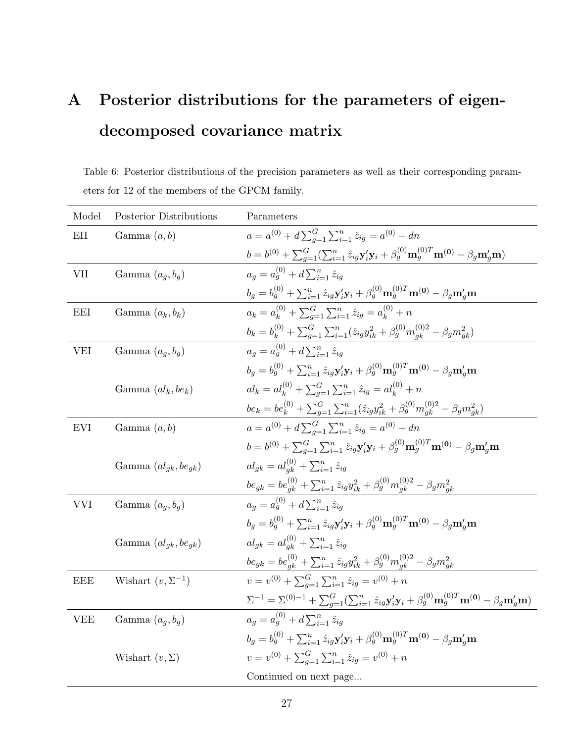# <span id="page-26-1"></span>A Posterior distributions for the parameters of eigendecomposed covariance matrix

<span id="page-26-0"></span>Table 6: Posterior distributions of the precision parameters as well as their corresponding parameters for 12 of the members of the GPCM family.

| Model      | Posterior Distributions    | Parameters                                                                                                                                                                                       |
|------------|----------------------------|--------------------------------------------------------------------------------------------------------------------------------------------------------------------------------------------------|
| EII        | Gamma $(a, b)$             | $a = a^{(0)} + d \sum_{a=1}^{G} \sum_{i=1}^{n} \hat{z}_{ia} = a^{(0)} + dn$                                                                                                                      |
|            |                            | $b = b^{(0)} + \sum_{q=1}^{G} (\sum_{i=1}^{n} \hat{z}_{ig} \mathbf{y}'_i \mathbf{y}_i + \beta_g^{(0)} \mathbf{m}_g^{(0)T} \mathbf{m}^{(0)} - \beta_g \mathbf{m}'_g \mathbf{m})$                  |
| <b>VII</b> | Gamma $(a_q, b_q)$         | $a_a = a_a^{(0)} + d \sum_{i=1}^n \hat{z}_{ia}$                                                                                                                                                  |
|            |                            | $b_g = b_g^{(0)} + \sum_{i=1}^n \hat{z}_{ig} \mathbf{y}_i^\prime \mathbf{y}_i + \beta_g^{(0)} \mathbf{m}_g^{(0)T} \mathbf{m}^{(0)} - \beta_g \mathbf{m}_g^\prime \mathbf{m}$                     |
| <b>EEI</b> | Gamma $(a_k, b_k)$         | $a_k = a_k^{(0)} + \sum_{a=1}^{G} \sum_{i=1}^{n} \hat{z}_{iq} = a_k^{(0)} + n$                                                                                                                   |
|            |                            | $b_k=b_k^{(0)}+\sum_{g=1}^G\sum_{i=1}^n(\hat{z}_{ig}y_{ik}^2+\beta_g^{(0)}m_{gk}^{(0)2}-\beta_gm_{gk}^2)$                                                                                        |
| <b>VEI</b> | Gamma $(a_q, b_q)$         | $a_a = a_a^{(0)} + d \sum_{i=1}^n \hat{z}_{ia}$                                                                                                                                                  |
|            |                            | $b_q = b_q^{(0)} + \sum_{i=1}^n \hat{z}_{iq} \mathbf{y}_{i}' \mathbf{y}_{i} + \beta_q^{(0)} \mathbf{m}_q^{(0)T} \mathbf{m}^{(0)} - \beta_q \mathbf{m}_q' \mathbf{m}$                             |
|            | Gamma $(al_k, be_k)$       | $al_k = al_k^{(0)} + \sum_{q=1}^{G} \sum_{i=1}^{n} \hat{z}_{iq} = al_k^{(0)} + n$                                                                                                                |
|            |                            | $be_k=be_k^{(0)}+\sum_{g=1}^G\sum_{i=1}^n(\hat{z}_{ig}y_{ik}^2+\beta_g^{(0)}m_{gk}^{(0)2}-\beta_gm_{gk}^2)$                                                                                      |
| <b>EVI</b> | Gamma $(a, b)$             | $a = a^{(0)} + d \sum_{q=1}^{G} \sum_{i=1}^{n} \hat{z}_{iq} = a^{(0)} + dn$                                                                                                                      |
|            |                            | $b = b^{(0)} + \sum_{q=1}^{G} \sum_{i=1}^{n} \hat{z}_{iq} \mathbf{y}_{i}' \mathbf{y}_{i} + \beta_{q}^{(0)} \mathbf{m}_{q}^{(0)T} \mathbf{m}^{(0)} - \beta_{q} \mathbf{m}_{q}' \mathbf{m}$        |
|            | Gamma $(al_{qk}, be_{qk})$ | $al_{ak} = al_{ak}^{(0)} + \sum_{i=1}^{n} \hat{z}_{iq}$                                                                                                                                          |
|            |                            | $be_{gk} = be_{gk}^{(0)} + \sum_{i=1}^{n} \hat{z}_{ig}y_{ik}^2 + \beta_g^{(0)}m_{gk}^{(0)2} - \beta_g m_{gk}^2$                                                                                  |
| <b>VVI</b> | Gamma $(a_q, b_q)$         | $a_a = a_a^{(0)} + d \sum_{i=1}^n \hat{z}_{ia}$                                                                                                                                                  |
|            |                            | $b_q = b_q^{(0)} + \sum_{i=1}^n \hat{z}_{iq} \mathbf{y}_i' \mathbf{y}_i + \beta_q^{(0)} \mathbf{m}_q^{(0)T} \mathbf{m}^{(0)} - \beta_q \mathbf{m}_q' \mathbf{m}$                                 |
|            | Gamma $(al_{gk}, be_{gk})$ | $al_{qk} = al_{qk}^{(0)} + \sum_{i=1}^{n} \hat{z}_{iq}$                                                                                                                                          |
|            |                            | $be_{gk} = be_{gk}^{(0)} + \sum_{i=1}^{n} \hat{z}_{ig}y_{ik}^2 + \beta_g^{(0)}m_{gk}^{(0)2} - \beta_g m_{gk}^2$                                                                                  |
| <b>EEE</b> | Wishart $(v, \Sigma^{-1})$ | $v = v^{(0)} + \sum_{a=1}^{G} \sum_{i=1}^{n} \hat{z}_{ig} = v^{(0)} + n$                                                                                                                         |
|            |                            | $\Sigma^{-1} = \Sigma^{(0)-1} + \sum_{g=1}^{G} (\sum_{i=1}^{n} \hat{z}_{ig} \mathbf{y}'_i \mathbf{y}_i + \beta_g^{(0)} \mathbf{m}_g^{(0)T} \mathbf{m}^{(0)} - \beta_g \mathbf{m}'_g \mathbf{m})$ |
| <b>VEE</b> | Gamma $(a_q, b_q)$         | $a_a = a_a^{(0)} + d \sum_{i=1}^n \hat{z}_{ia}$                                                                                                                                                  |
|            |                            | $b_q = b_q^{(0)} + \sum_{i=1}^n \hat{z}_{iq} \mathbf{y}_i' \mathbf{y}_i + \beta_q^{(0)} \mathbf{m}_q^{(0)T} \mathbf{m}^{(0)} - \beta_q \mathbf{m}_q' \mathbf{m}$                                 |
|            | Wishart $(v, \Sigma)$      | $v = v^{(0)} + \sum_{q=1}^{G} \sum_{i=1}^{n} \hat{z}_{iq} = v^{(0)} + n$                                                                                                                         |
|            |                            | Continued on next page                                                                                                                                                                           |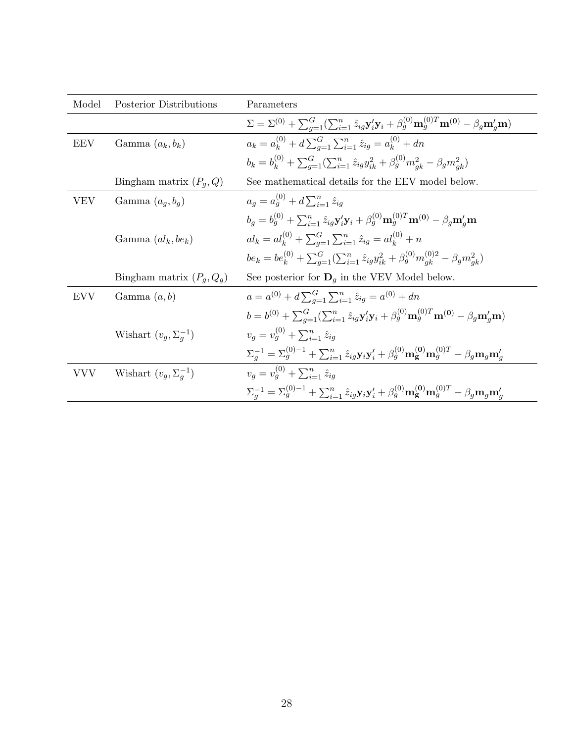| Model      | Posterior Distributions        | Parameters                                                                                                                                                                                            |
|------------|--------------------------------|-------------------------------------------------------------------------------------------------------------------------------------------------------------------------------------------------------|
|            |                                | $\Sigma = \Sigma^{(0)} + \sum_{q=1}^{G} (\sum_{i=1}^{n} \hat{z}_{iq} \mathbf{y}_{i}' \mathbf{y}_{i} + \beta_{q}^{(0)} \mathbf{m}_{q}^{(0)T} \mathbf{m}^{(0)} - \beta_{q} \mathbf{m}_{q}' \mathbf{m})$ |
| <b>EEV</b> | Gamma $(a_k, b_k)$             | $a_k = a_k^{(0)} + d \sum_{n=1}^G \sum_{i=1}^n \hat{z}_{ig} = a_k^{(0)} + dn$                                                                                                                         |
|            |                                | $b_k = b_k^{(0)} + \sum_{q=1}^{G} (\sum_{i=1}^{n} \hat{z}_{iq} y_{ik}^2 + \beta_q^{(0)} m_{ak}^2 - \beta_q m_{ak}^2)$                                                                                 |
|            | Bingham matrix $(P_q, Q)$      | See mathematical details for the EEV model below.                                                                                                                                                     |
| VEV        | Gamma $(a_q, b_q)$             | $a_q = a_q^{(0)} + d \sum_{i=1}^n \hat{z}_{iq}$                                                                                                                                                       |
|            |                                | $b_q = b_q^{(0)} + \sum_{i=1}^n \hat{z}_{iq} \mathbf{y}_i' \mathbf{y}_i + \beta_q^{(0)} \mathbf{m}_q^{(0)T} \mathbf{m}^{(0)} - \beta_q \mathbf{m}_q' \mathbf{m}$                                      |
|            | Gamma $(al_k, be_k)$           | $al_k = al_k^{(0)} + \sum_{q=1}^{G} \sum_{i=1}^{n} \hat{z}_{iq} = al_k^{(0)} + n$                                                                                                                     |
|            |                                | $be_k = be_k^{(0)} + \sum_{a=1}^{G} (\sum_{i=1}^{n} \hat{z}_{ig}y_{ik}^2 + \beta_g^{(0)}m_{ak}^{(0)2} - \beta_g m_{ak}^2)$                                                                            |
|            | Bingham matrix $(P_q, Q_q)$    | See posterior for $\mathbf{D}_g$ in the VEV Model below.                                                                                                                                              |
| EVV        | Gamma $(a, b)$                 | $a = a^{(0)} + d \sum_{a=1}^{G} \sum_{i=1}^{n} \hat{z}_{ig} = a^{(0)} + dn$                                                                                                                           |
|            |                                | $b = b^{(0)} + \sum_{a=1}^{G} (\sum_{i=1}^{n} \hat{z}_{ig} \mathbf{y}'_i \mathbf{y}_i + \beta_g^{(0)} \mathbf{m}_g^{(0)T} \mathbf{m}^{(0)} - \beta_g \mathbf{m}'_g \mathbf{m})$                       |
|            | Wishart $(v_q, \Sigma_q^{-1})$ | $v_a = v_a^{(0)} + \sum_{i=1}^n \hat{z}_{ia}$                                                                                                                                                         |
|            |                                | $\Sigma_a^{-1} = \Sigma_q^{(0)-1} + \sum_{i=1}^n \hat{z}_{ia} \mathbf{y}_i \mathbf{y}_i' + \beta_q^{(0)} \mathbf{m_g^{(0)} m_q^{(0)T} - \beta_q \mathbf{m}_q \mathbf{m}_q'}$                          |
| VVV        | Wishart $(v_q, \Sigma_q^{-1})$ | $v_a = v_a^{(0)} + \sum_{i=1}^n \hat{z}_{ia}$                                                                                                                                                         |
|            |                                | $\Sigma_a^{-1} = \Sigma_a^{(0)-1} + \sum_{i=1}^n \hat{z}_{ia} \mathbf{y}_i \mathbf{y}_i' + \beta_a^{(0)} \mathbf{m}_{\mathbf{g}}^{(0)} \mathbf{m}_a^{(0)T} - \beta_a \mathbf{m}_a \mathbf{m}_a'$      |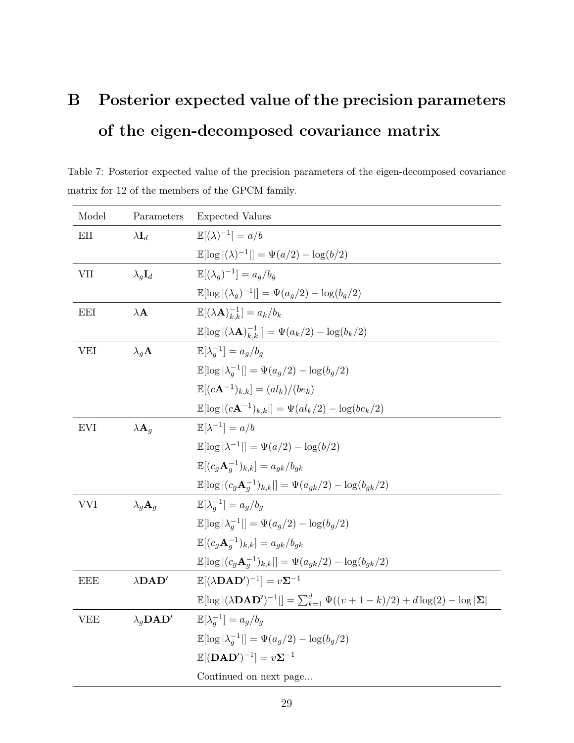## B Posterior expected value of the precision parameters of the eigen-decomposed covariance matrix

Table 7: Posterior expected value of the precision parameters of the eigen-decomposed covariance matrix for 12 of the members of the GPCM family.

| Model      | Parameters                                    | <b>Expected Values</b>                                                                                                                 |
|------------|-----------------------------------------------|----------------------------------------------------------------------------------------------------------------------------------------|
| EII        | $\lambda \mathbf{I}_d$                        | $\mathbb{E}[(\lambda)^{-1}] = a/b$                                                                                                     |
|            |                                               | $\mathbb{E}[\log  (\lambda)^{-1} ] = \Psi(a/2) - \log(b/2)$                                                                            |
| VII        | $\lambda_q \mathbf{I}_d$                      | $\mathbb{E}[(\lambda_a)^{-1}] = a_a/b_a$                                                                                               |
|            |                                               | $\mathbb{E}[\log  (\lambda_q)^{-1} ] = \Psi(a_q/2) - \log(b_q/2)$                                                                      |
| <b>EEI</b> | $\lambda\mathbf{A}$                           | $\mathbb{E}[(\lambda \mathbf{A})_{k,k}^{-1}] = a_k/b_k$                                                                                |
|            |                                               | $\mathbb{E}[\log  (\lambda \mathbf{A})_{k,k}^{-1} ] = \Psi(a_k/2) - \log(b_k/2)$                                                       |
| <b>VEI</b> | $\lambda_q$ <b>A</b>                          | $\mathbb{E}[\lambda_a^{-1}] = a_q/b_q$                                                                                                 |
|            |                                               | $\mathbb{E}[\log  \lambda_a^{-1} ] = \Psi(a_q/2) - \log(b_q/2)$                                                                        |
|            |                                               | $\mathbb{E}[(c\mathbf{A}^{-1})_{k,k}] = (al_k)/(be_k)$                                                                                 |
|            |                                               | $\mathbb{E}[\log  (c\mathbf{A}^{-1})_{k,k} ] = \Psi(al_k/2) - \log(be_k/2)$                                                            |
| <b>EVI</b> | $\lambda \mathbf{A}_q$                        | $\mathbb{E}[\lambda^{-1}] = a/b$                                                                                                       |
|            |                                               | $\mathbb{E}[\log  \lambda^{-1} ] = \Psi(a/2) - \log(b/2)$                                                                              |
|            |                                               | $\mathbb{E}[(c_a \mathbf{A}_a^{-1})_{k,k}] = a_{ak}/b_{ak}$                                                                            |
|            |                                               | $\mathbb{E}[\log  (c_g \mathbf{A}_g^{-1})_{k,k} ] = \Psi(a_{qk}/2) - \log(b_{qk}/2)$                                                   |
| <b>VVI</b> | $\lambda_a \mathbf{A}_a$                      | $\mathbb{E}[\lambda_a^{-1}] = a_a/b_a$                                                                                                 |
|            |                                               | $\mathbb{E}[\log  \lambda_a^{-1} ] = \Psi(a_q/2) - \log(b_q/2)$                                                                        |
|            |                                               | $\mathbb{E}[(c_q\mathbf{A}_a^{-1})_{k,k}] = a_{gk}/b_{gk}$                                                                             |
|            |                                               | $\mathbb{E}[\log (c_g \mathbf{A}_q^{-1})_{k,k} ] = \Psi(a_{gk}/2) - \log(b_{gk}/2)$                                                    |
| <b>EEE</b> | $\lambda$ DAD'                                | $\mathbb{E}[(\lambda \mathbf{D}\mathbf{A}\mathbf{D}')^{-1}] = v\mathbf{\Sigma}^{-1}$                                                   |
|            |                                               | $\mathbb{E}[\log  (\lambda \mathbf{D}\mathbf{A}\mathbf{D}')^{-1} ] = \sum_{k=1}^d \Psi((v+1-k)/2) + d\log(2) - \log  \mathbf{\Sigma} $ |
| <b>VEE</b> | $\lambda_q \mathbf{D} \mathbf{A} \mathbf{D}'$ | $\mathbb{E}[\lambda_a^{-1}] = a_q/b_q$                                                                                                 |
|            |                                               | $\mathbb{E}[\log  \lambda_a^{-1} ] = \Psi(a_g/2) - \log(b_g/2)$                                                                        |
|            |                                               | $\mathbb{E}[(\mathbf{D}\mathbf{A}\mathbf{D}')^{-1}] = v\mathbf{\Sigma}^{-1}$                                                           |
|            |                                               | Continued on next page                                                                                                                 |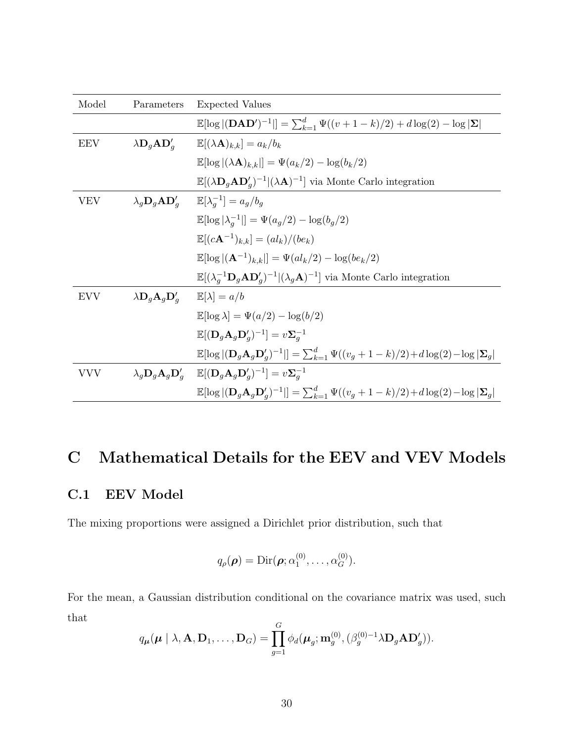| Model      | Parameters                                        | <b>Expected Values</b>                                                                                                                      |
|------------|---------------------------------------------------|---------------------------------------------------------------------------------------------------------------------------------------------|
|            |                                                   | $\mathbb{E}[\log  (\mathbf{D}\mathbf{A}\mathbf{D}')^{-1} ] = \sum_{k=1}^{d} \Psi((v+1-k)/2) + d\log(2) - \log  \mathbf{\Sigma} $            |
| <b>EEV</b> | $\lambda \mathbf{D}_g \mathbf{A} \mathbf{D}_g'$   | $\mathbb{E}[(\lambda \mathbf{A})_{k,k}] = a_k/b_k$                                                                                          |
|            |                                                   | $\mathbb{E}[\log  (\lambda \mathbf{A})_{k,k} ] = \Psi(a_k/2) - \log(b_k/2)$                                                                 |
|            |                                                   | $\mathbb{E}[(\lambda \mathbf{D}_g \mathbf{A} \mathbf{D}'_g)^{-1}](\lambda \mathbf{A})^{-1}]$ via Monte Carlo integration                    |
| <b>VEV</b> | $\lambda_g \mathbf{D}_g \mathbf{A} \mathbf{D}_g'$ | $\mathbb{E}[\lambda_a^{-1}] = a_q/b_q$                                                                                                      |
|            |                                                   | $\mathbb{E}[\log  \lambda_a^{-1} ] = \Psi(a_q/2) - \log(b_q/2)$                                                                             |
|            |                                                   | $\mathbb{E}[(c\mathbf{A}^{-1})_{k,k}] = (al_k)/(be_k)$                                                                                      |
|            |                                                   | $\mathbb{E}[\log  (\mathbf{A}^{-1})_{k,k} ] = \Psi(al_k/2) - \log(be_k/2)$                                                                  |
|            |                                                   | $\mathbb{E}[(\lambda_a^{-1} \mathbf{D}_g \mathbf{A} \mathbf{D}'_g)^{-1}   (\lambda_g \mathbf{A})^{-1}]$ via Monte Carlo integration         |
| <b>EVV</b> | $\lambda \mathbf{D}_q \mathbf{A}_q \mathbf{D}_q'$ | $\mathbb{E}[\lambda] = a/b$                                                                                                                 |
|            |                                                   | $\mathbb{E}[\log \lambda] = \Psi(a/2) - \log(b/2)$                                                                                          |
|            |                                                   | $\mathbb{E}[(\mathbf{D}_q\mathbf{A}_q\mathbf{D}'_q)^{-1}]=v\mathbf{\Sigma}_q^{-1}$                                                          |
|            |                                                   | $\mathbb{E}[\log  (\mathbf{D}_q\mathbf{A}_q\mathbf{D}_q')^{-1} ] = \sum_{k=1}^d \Psi((v_q+1-k)/2) + d\log(2) - \log  \mathbf{\Sigma}_q $    |
| <b>VVV</b> |                                                   | $\lambda_g \mathbf{D}_g \mathbf{A}_g \mathbf{D}'_g$ $\mathbb{E}[(\mathbf{D}_g \mathbf{A}_g \mathbf{D}'_g)^{-1}] = v \mathbf{\Sigma}_g^{-1}$ |
|            |                                                   | $\mathbb{E}[\log  (\mathbf{D}_q\mathbf{A}_q\mathbf{D}_q')^{-1} ] = \sum_{k=1}^d \Psi((v_q+1-k)/2) + d\log(2) - \log  \mathbf{\Sigma}_q $    |

## <span id="page-29-0"></span>C Mathematical Details for the EEV and VEV Models

### C.1 EEV Model

The mixing proportions were assigned a Dirichlet prior distribution, such that

$$
q_{\rho}(\boldsymbol{\rho}) = \mathrm{Dir}(\boldsymbol{\rho}; \alpha_1^{(0)}, \ldots, \alpha_G^{(0)}).
$$

For the mean, a Gaussian distribution conditional on the covariance matrix was used, such that  $\overline{a}$ 

$$
q_{\boldsymbol{\mu}}(\boldsymbol{\mu} \mid \lambda, \mathbf{A}, \mathbf{D}_1, \ldots, \mathbf{D}_G) = \prod_{g=1}^G \phi_d(\boldsymbol{\mu}_g; \mathbf{m}_g^{(0)}, (\beta_g^{(0)-1} \lambda \mathbf{D}_g \mathbf{A} \mathbf{D}_g')).
$$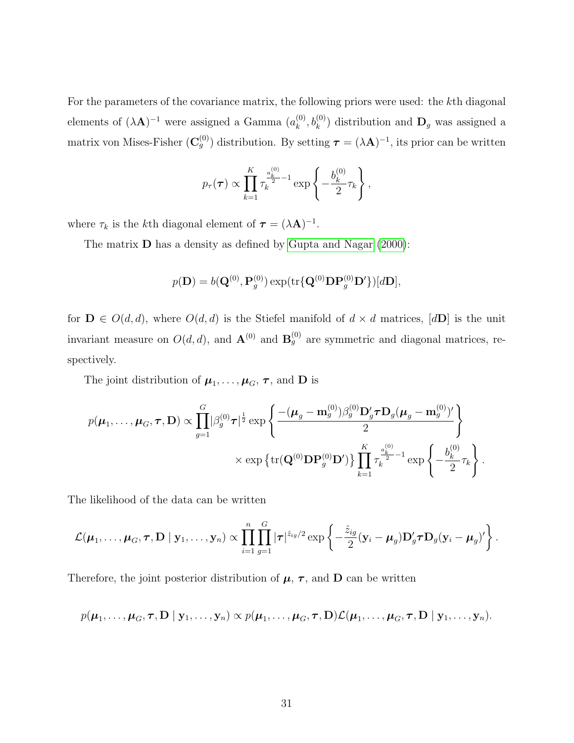For the parameters of the covariance matrix, the following priors were used: the kth diagonal elements of  $(\lambda \mathbf{A})^{-1}$  were assigned a Gamma  $(a_k^{(0)})$  $(k^{(0)}, b_k^{(0)})$  distribution and  $\mathbf{D}_g$  was assigned a matrix von Mises-Fisher  $(\mathbf{C}_g^{(0)})$  distribution. By setting  $\boldsymbol{\tau} = (\lambda \mathbf{A})^{-1}$ , its prior can be written

$$
p_{\tau}(\tau) \propto \prod_{k=1}^{K} \tau_k^{\frac{a_k^{(0)}}{2}-1} \exp \left\{-\frac{b_k^{(0)}}{2} \tau_k\right\},\,
$$

where  $\tau_k$  is the kth diagonal element of  $\tau = (\lambda \mathbf{A})^{-1}$ .

The matrix **D** has a density as defined by [Gupta and Nagar](#page-21-4) [\(2000\)](#page-21-4):

$$
p(\mathbf{D})=b(\mathbf{Q}^{(0)},\mathbf{P}^{(0)}_g)\exp(\text{tr}\{\mathbf{Q}^{(0)}\mathbf{D}\mathbf{P}^{(0)}_g\mathbf{D}'\})[d\mathbf{D}],
$$

for  $\mathbf{D} \in O(d, d)$ , where  $O(d, d)$  is the Stiefel manifold of  $d \times d$  matrices,  $[d\mathbf{D}]$  is the unit invariant measure on  $O(d, d)$ , and  $\mathbf{A}^{(0)}$  and  $\mathbf{B}_g^{(0)}$  are symmetric and diagonal matrices, respectively.

The joint distribution of  $\mu_1, \ldots, \mu_G, \tau$ , and **D** is

$$
p(\boldsymbol{\mu}_1,\ldots,\boldsymbol{\mu}_G,\boldsymbol{\tau},\mathbf{D}) \propto \prod_{g=1}^G |\beta_g^{(0)} \boldsymbol{\tau}|^{\frac{1}{2}} \exp \left\{ \frac{- (\boldsymbol{\mu}_g - \mathbf{m}_g^{(0)}) \beta_g^{(0)} \mathbf{D}_g' \boldsymbol{\tau} \mathbf{D}_g (\boldsymbol{\mu}_g - \mathbf{m}_g^{(0)})'}{2} \right\}
$$

$$
\times \exp \left\{ \text{tr}(\mathbf{Q}^{(0)} \mathbf{D} \mathbf{P}_g^{(0)} \mathbf{D}') \right\} \prod_{k=1}^K \tau_k^{\frac{a_k^{(0)}}{2} - 1} \exp \left\{ -\frac{b_k^{(0)}}{2} \tau_k \right\}.
$$

The likelihood of the data can be written

$$
\mathcal{L}(\boldsymbol{\mu}_1,\ldots,\boldsymbol{\mu}_G, \boldsymbol{\tau}, \mathbf{D} \mid \mathbf{y}_1,\ldots,\mathbf{y}_n) \propto \prod_{i=1}^n \prod_{g=1}^G |\boldsymbol{\tau}|^{ \hat{z}_{ig}/2} \exp \left\{-\frac{\hat{z}_{ig}}{2} (\mathbf{y}_i-\boldsymbol{\mu}_g) \mathbf{D}_g' \boldsymbol{\tau} \mathbf{D}_g (\mathbf{y}_i-\boldsymbol{\mu}_g)'\right\}.
$$

Therefore, the joint posterior distribution of  $\mu$ ,  $\tau$ , and **D** can be written

$$
p(\boldsymbol{\mu}_1,\ldots,\boldsymbol{\mu}_G,\boldsymbol{\tau},\mathbf{D} \mid \mathbf{y}_1,\ldots,\mathbf{y}_n) \propto p(\boldsymbol{\mu}_1,\ldots,\boldsymbol{\mu}_G,\boldsymbol{\tau},\mathbf{D}) \mathcal{L}(\boldsymbol{\mu}_1,\ldots,\boldsymbol{\mu}_G,\boldsymbol{\tau},\mathbf{D} \mid \mathbf{y}_1,\ldots,\mathbf{y}_n).
$$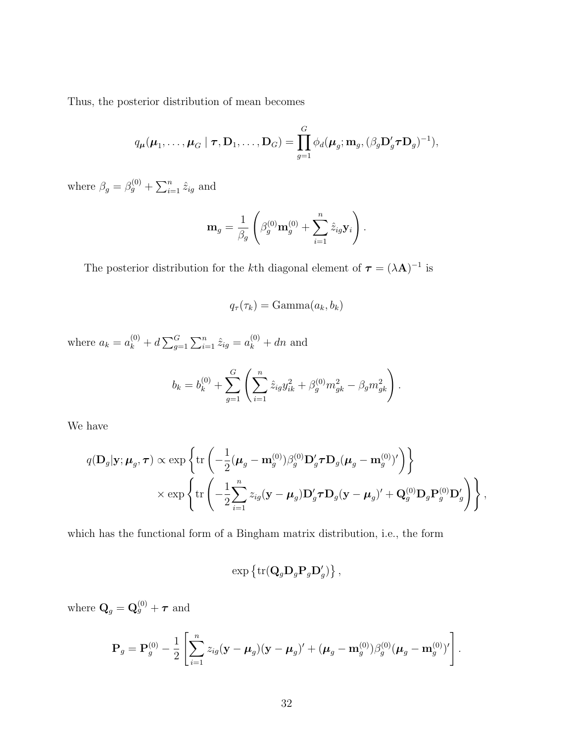Thus, the posterior distribution of mean becomes

$$
q_{\boldsymbol{\mu}}(\boldsymbol{\mu}_1,\ldots,\boldsymbol{\mu}_G\mid\boldsymbol{\tau},\mathbf{D}_1,\ldots,\mathbf{D}_G)=\prod_{g=1}^G\phi_d(\boldsymbol{\mu}_g;\mathbf{m}_g,(\beta_g\mathbf{D}_g'\boldsymbol{\tau}\mathbf{D}_g)^{-1}),
$$

where  $\beta_g = \beta_g^{(0)} + \sum_{i=1}^n \hat{z}_{ig}$  and

$$
\mathbf{m}_g = \frac{1}{\beta_g} \left( \beta_g^{(0)} \mathbf{m}_g^{(0)} + \sum_{i=1}^n \hat{z}_{ig} \mathbf{y}_i \right).
$$

The posterior distribution for the kth diagonal element of  $\tau = (\lambda \mathbf{A})^{-1}$  is

$$
q_{\tau}(\tau_k) = \text{Gamma}(a_k, b_k)
$$

where  $a_k = a_k^{(0)} + d \sum_{g=1}^G \sum_{i=1}^n \hat{z}_{ig} = a_k^{(0)} + dn$  and

$$
b_k = b_k^{(0)} + \sum_{g=1}^G \left( \sum_{i=1}^n \hat{z}_{ig} y_{ik}^2 + \beta_g^{(0)} m_{gk}^2 - \beta_g m_{gk}^2 \right).
$$

We have

$$
q(\mathbf{D}_g|\mathbf{y}; \boldsymbol{\mu}_g, \boldsymbol{\tau}) \propto \exp\left\{\text{tr}\left(-\frac{1}{2}(\boldsymbol{\mu}_g - \mathbf{m}_g^{(0)})\beta_g^{(0)}\mathbf{D}_g'\boldsymbol{\tau}\mathbf{D}_g(\boldsymbol{\mu}_g - \mathbf{m}_g^{(0)})'\right)\right\}
$$

$$
\times \exp\left\{\text{tr}\left(-\frac{1}{2}\sum_{i=1}^n z_{ig}(\mathbf{y} - \boldsymbol{\mu}_g)\mathbf{D}_g'\boldsymbol{\tau}\mathbf{D}_g(\mathbf{y} - \boldsymbol{\mu}_g)'+\mathbf{Q}_g^{(0)}\mathbf{D}_g\mathbf{P}_g^{(0)}\mathbf{D}_g'\right)\right\},
$$

which has the functional form of a Bingham matrix distribution, i.e., the form

$$
\exp\left\{\text{tr}(\mathbf{Q}_g\mathbf{D}_g\mathbf{P}_g\mathbf{D}'_g)\right\},\,
$$

where  $\mathbf{Q}_g = \mathbf{Q}_g^{(0)} + \boldsymbol{\tau}$  and

$$
\mathbf{P}_g = \mathbf{P}_g^{(0)} - \frac{1}{2} \left[ \sum_{i=1}^n z_{ig} (\mathbf{y} - \boldsymbol{\mu}_g) (\mathbf{y} - \boldsymbol{\mu}_g)' + (\boldsymbol{\mu}_g - \mathbf{m}_g^{(0)}) \beta_g^{(0)} (\boldsymbol{\mu}_g - \mathbf{m}_g^{(0)})' \right].
$$